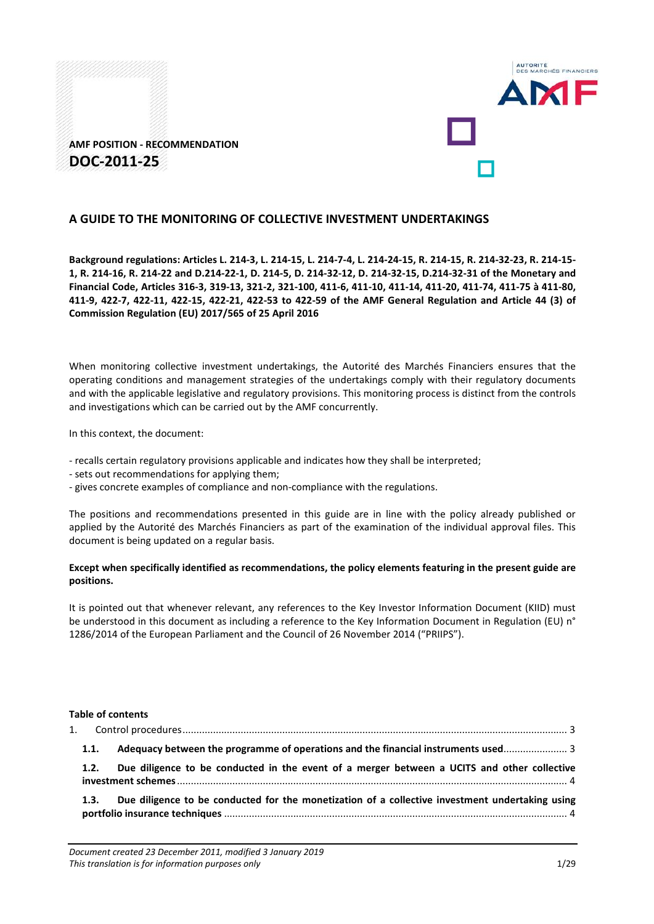



#### **A GUIDE TO THE MONITORING OF COLLECTIVE INVESTMENT UNDERTAKINGS**

**Background regulations: Articles L. 214-3, L. 214-15, L. 214-7-4, L. 214-24-15, R. 214-15, R. 214-32-23, R. 214-15- 1, R. 214-16, R. 214-22 and D.214-22-1, D. 214-5, D. 214-32-12, D. 214-32-15, D.214-32-31 of the Monetary and Financial Code, Articles 316-3, 319-13, 321-2, 321-100, 411-6, 411-10, 411-14, 411-20, 411-74, 411-75 à 411-80, 411-9, 422-7, 422-11, 422-15, 422-21, 422-53 to 422-59 of the AMF General Regulation and Article 44 (3) of Commission Regulation (EU) 2017/565 of 25 April 2016**

When monitoring collective investment undertakings, the Autorité des Marchés Financiers ensures that the operating conditions and management strategies of the undertakings comply with their regulatory documents and with the applicable legislative and regulatory provisions. This monitoring process is distinct from the controls and investigations which can be carried out by the AMF concurrently.

In this context, the document:

- recalls certain regulatory provisions applicable and indicates how they shall be interpreted;
- sets out recommendations for applying them;
- gives concrete examples of compliance and non-compliance with the regulations.

The positions and recommendations presented in this guide are in line with the policy already published or applied by the Autorité des Marchés Financiers as part of the examination of the individual approval files. This document is being updated on a regular basis.

#### **Except when specifically identified as recommendations, the policy elements featuring in the present guide are positions.**

It is pointed out that whenever relevant, any references to the Key Investor Information Document (KIID) must be understood in this document as including a reference to the Key Information Document in Regulation (EU) n° 1286/2014 of the European Parliament and the Council of 26 November 2014 ("PRIIPS").

#### **Table of contents**

| 1.1. | Adequacy between the programme of operations and the financial instruments used                 |  |
|------|-------------------------------------------------------------------------------------------------|--|
| 1.2. | Due diligence to be conducted in the event of a merger between a UCITS and other collective     |  |
| 1.3. | Due diligence to be conducted for the monetization of a collective investment undertaking using |  |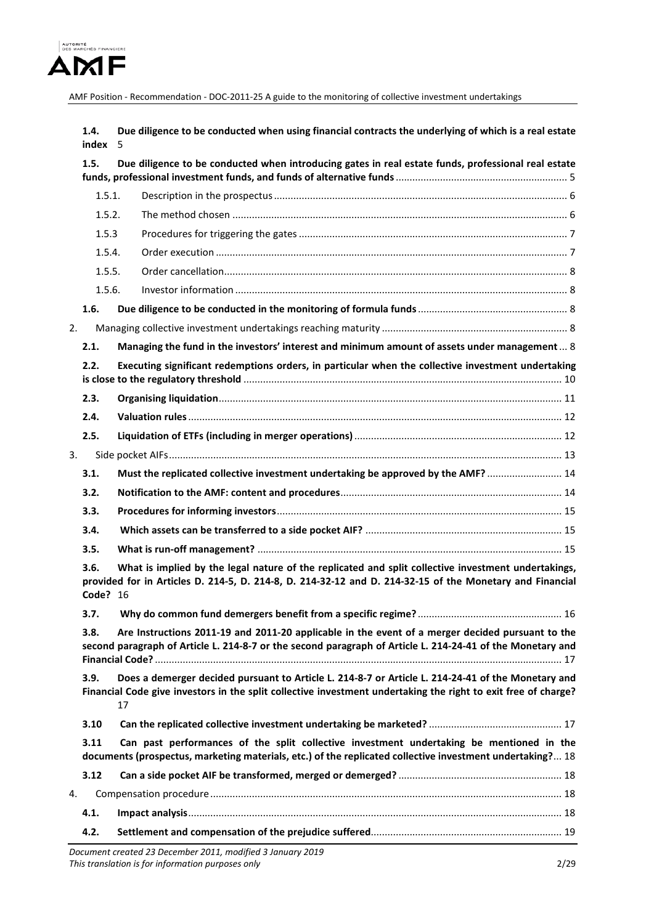

**1.4. [Due diligence to be conducted when using financial contracts the underlying of which is a real estate](#page-4-0)  [index](#page-4-0)** 5

|    | 1.5.                                                                                                                                                                                                                               | Due diligence to be conducted when introducing gates in real estate funds, professional real estate                                                                                                             |  |  |  |  |
|----|------------------------------------------------------------------------------------------------------------------------------------------------------------------------------------------------------------------------------------|-----------------------------------------------------------------------------------------------------------------------------------------------------------------------------------------------------------------|--|--|--|--|
|    | 1.5.1.                                                                                                                                                                                                                             |                                                                                                                                                                                                                 |  |  |  |  |
|    | 1.5.2.                                                                                                                                                                                                                             |                                                                                                                                                                                                                 |  |  |  |  |
|    | 1.5.3                                                                                                                                                                                                                              |                                                                                                                                                                                                                 |  |  |  |  |
|    | 1.5.4.                                                                                                                                                                                                                             |                                                                                                                                                                                                                 |  |  |  |  |
|    | 1.5.5.                                                                                                                                                                                                                             |                                                                                                                                                                                                                 |  |  |  |  |
|    | 1.5.6.                                                                                                                                                                                                                             |                                                                                                                                                                                                                 |  |  |  |  |
|    | 1.6.                                                                                                                                                                                                                               |                                                                                                                                                                                                                 |  |  |  |  |
| 2. |                                                                                                                                                                                                                                    |                                                                                                                                                                                                                 |  |  |  |  |
|    | 2.1.                                                                                                                                                                                                                               | Managing the fund in the investors' interest and minimum amount of assets under management 8                                                                                                                    |  |  |  |  |
|    | 2.2.                                                                                                                                                                                                                               | Executing significant redemptions orders, in particular when the collective investment undertaking                                                                                                              |  |  |  |  |
|    | 2.3.                                                                                                                                                                                                                               |                                                                                                                                                                                                                 |  |  |  |  |
|    | 2.4.                                                                                                                                                                                                                               |                                                                                                                                                                                                                 |  |  |  |  |
|    | 2.5.                                                                                                                                                                                                                               |                                                                                                                                                                                                                 |  |  |  |  |
| 3. |                                                                                                                                                                                                                                    |                                                                                                                                                                                                                 |  |  |  |  |
|    | 3.1.                                                                                                                                                                                                                               | Must the replicated collective investment undertaking be approved by the AMF?  14                                                                                                                               |  |  |  |  |
|    | 3.2.                                                                                                                                                                                                                               |                                                                                                                                                                                                                 |  |  |  |  |
|    | 3.3.                                                                                                                                                                                                                               |                                                                                                                                                                                                                 |  |  |  |  |
|    | 3.4.                                                                                                                                                                                                                               |                                                                                                                                                                                                                 |  |  |  |  |
|    | 3.5.                                                                                                                                                                                                                               |                                                                                                                                                                                                                 |  |  |  |  |
|    | 3.6.<br><b>Code? 16</b>                                                                                                                                                                                                            | What is implied by the legal nature of the replicated and split collective investment undertakings,<br>provided for in Articles D. 214-5, D. 214-8, D. 214-32-12 and D. 214-32-15 of the Monetary and Financial |  |  |  |  |
|    | 3.7.                                                                                                                                                                                                                               |                                                                                                                                                                                                                 |  |  |  |  |
|    | 3.8.                                                                                                                                                                                                                               | Are Instructions 2011-19 and 2011-20 applicable in the event of a merger decided pursuant to the<br>second paragraph of Article L. 214-8-7 or the second paragraph of Article L. 214-24-41 of the Monetary and  |  |  |  |  |
|    | Does a demerger decided pursuant to Article L. 214-8-7 or Article L. 214-24-41 of the Monetary and<br>3.9.<br>Financial Code give investors in the split collective investment undertaking the right to exit free of charge?<br>17 |                                                                                                                                                                                                                 |  |  |  |  |
|    | 3.10                                                                                                                                                                                                                               |                                                                                                                                                                                                                 |  |  |  |  |
|    | 3.11                                                                                                                                                                                                                               | Can past performances of the split collective investment undertaking be mentioned in the<br>documents (prospectus, marketing materials, etc.) of the replicated collective investment undertaking? 18           |  |  |  |  |
|    | 3.12                                                                                                                                                                                                                               |                                                                                                                                                                                                                 |  |  |  |  |
| 4. |                                                                                                                                                                                                                                    |                                                                                                                                                                                                                 |  |  |  |  |
|    | 4.1.                                                                                                                                                                                                                               |                                                                                                                                                                                                                 |  |  |  |  |
|    | 4.2.                                                                                                                                                                                                                               |                                                                                                                                                                                                                 |  |  |  |  |
|    |                                                                                                                                                                                                                                    |                                                                                                                                                                                                                 |  |  |  |  |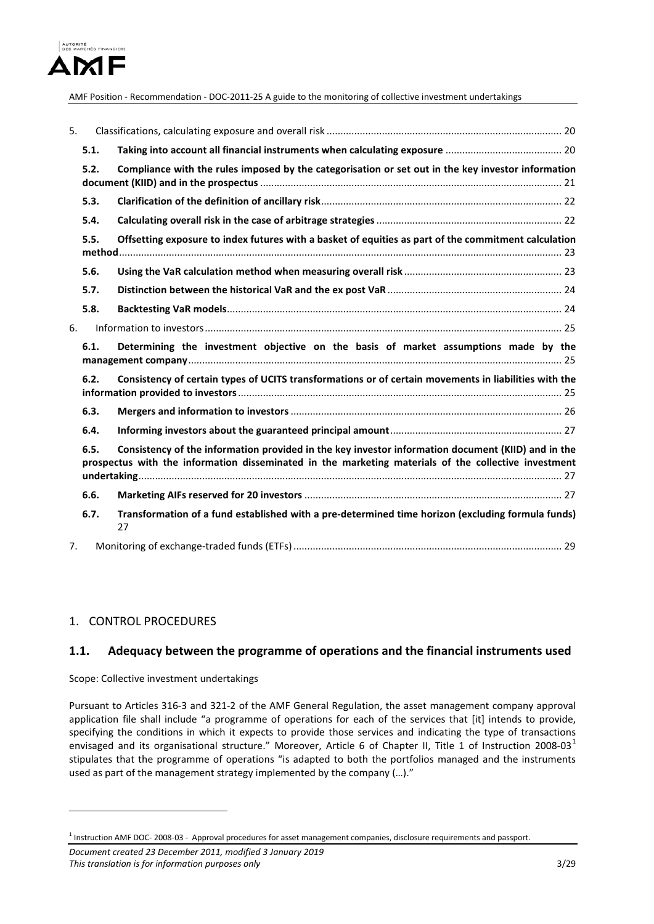

| 5. |      |                                                                                                                                                                                                            |  |
|----|------|------------------------------------------------------------------------------------------------------------------------------------------------------------------------------------------------------------|--|
|    | 5.1. |                                                                                                                                                                                                            |  |
|    | 5.2. | Compliance with the rules imposed by the categorisation or set out in the key investor information                                                                                                         |  |
|    | 5.3. |                                                                                                                                                                                                            |  |
|    | 5.4. |                                                                                                                                                                                                            |  |
|    | 5.5. | Offsetting exposure to index futures with a basket of equities as part of the commitment calculation                                                                                                       |  |
|    | 5.6. |                                                                                                                                                                                                            |  |
|    | 5.7. |                                                                                                                                                                                                            |  |
|    | 5.8. |                                                                                                                                                                                                            |  |
| 6. |      |                                                                                                                                                                                                            |  |
|    | 6.1. | Determining the investment objective on the basis of market assumptions made by the                                                                                                                        |  |
|    | 6.2. | Consistency of certain types of UCITS transformations or of certain movements in liabilities with the                                                                                                      |  |
|    | 6.3. |                                                                                                                                                                                                            |  |
|    |      |                                                                                                                                                                                                            |  |
|    | 6.4. |                                                                                                                                                                                                            |  |
|    | 6.5. | Consistency of the information provided in the key investor information document (KIID) and in the<br>prospectus with the information disseminated in the marketing materials of the collective investment |  |
|    | 6.6. |                                                                                                                                                                                                            |  |
|    | 6.7. | Transformation of a fund established with a pre-determined time horizon (excluding formula funds)<br>27                                                                                                    |  |

## <span id="page-2-0"></span>1. CONTROL PROCEDURES

<u>.</u>

### <span id="page-2-1"></span>**1.1. Adequacy between the programme of operations and the financial instruments used**

Scope: Collective investment undertakings

Pursuant to Articles 316-3 and 321-2 of the AMF General Regulation, the asset management company approval application file shall include "a programme of operations for each of the services that [it] intends to provide, specifying the conditions in which it expects to provide those services and indicating the type of transactions envisaged and its organisational structure." Moreover, Article 6 of Chapter II, Title [1](#page-2-2) of Instruction 2008-03<sup>1</sup> stipulates that the programme of operations "is adapted to both the portfolios managed and the instruments used as part of the management strategy implemented by the company (…)."

<span id="page-2-2"></span><sup>1</sup> Instruction AMF DOC- 2008-03 - Approval procedures for asset management companies, disclosure requirements and passport.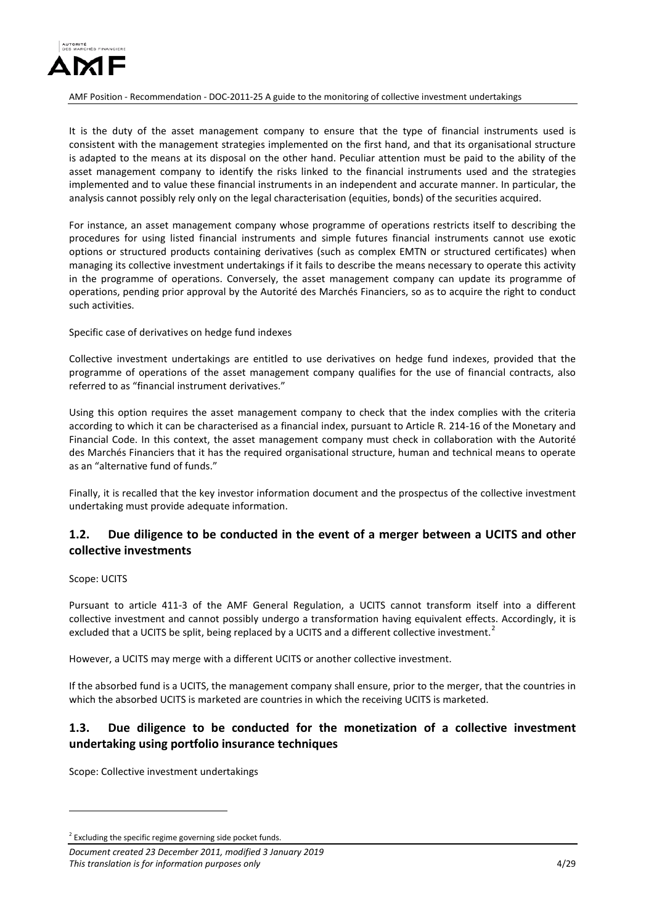

It is the duty of the asset management company to ensure that the type of financial instruments used is consistent with the management strategies implemented on the first hand, and that its organisational structure is adapted to the means at its disposal on the other hand. Peculiar attention must be paid to the ability of the asset management company to identify the risks linked to the financial instruments used and the strategies implemented and to value these financial instruments in an independent and accurate manner. In particular, the analysis cannot possibly rely only on the legal characterisation (equities, bonds) of the securities acquired.

For instance, an asset management company whose programme of operations restricts itself to describing the procedures for using listed financial instruments and simple futures financial instruments cannot use exotic options or structured products containing derivatives (such as complex EMTN or structured certificates) when managing its collective investment undertakings if it fails to describe the means necessary to operate this activity in the programme of operations. Conversely, the asset management company can update its programme of operations, pending prior approval by the Autorité des Marchés Financiers, so as to acquire the right to conduct such activities.

Specific case of derivatives on hedge fund indexes

Collective investment undertakings are entitled to use derivatives on hedge fund indexes, provided that the programme of operations of the asset management company qualifies for the use of financial contracts, also referred to as "financial instrument derivatives."

Using this option requires the asset management company to check that the index complies with the criteria according to which it can be characterised as a financial index, pursuant to Article R. 214-16 of the Monetary and Financial Code. In this context, the asset management company must check in collaboration with the Autorité des Marchés Financiers that it has the required organisational structure, human and technical means to operate as an "alternative fund of funds."

Finally, it is recalled that the key investor information document and the prospectus of the collective investment undertaking must provide adequate information.

# <span id="page-3-0"></span>**1.2. Due diligence to be conducted in the event of a merger between a UCITS and other collective investments**

#### Scope: UCITS

<u>.</u>

Pursuant to article 411-3 of the AMF General Regulation, a UCITS cannot transform itself into a different collective investment and cannot possibly undergo a transformation having equivalent effects. Accordingly, it is excluded that a UCITS be split, being replaced by a UCITS and a different collective investment.<sup>[2](#page-3-2)</sup>

However, a UCITS may merge with a different UCITS or another collective investment.

If the absorbed fund is a UCITS, the management company shall ensure, prior to the merger, that the countries in which the absorbed UCITS is marketed are countries in which the receiving UCITS is marketed.

# <span id="page-3-1"></span>**1.3. Due diligence to be conducted for the monetization of a collective investment undertaking using portfolio insurance techniques**

Scope: Collective investment undertakings

<span id="page-3-2"></span> $2^{2}$  Excluding the specific regime governing side pocket funds.

*Document created 23 December 2011, modified 3 January 2019 This translation is for information purposes only* 4/29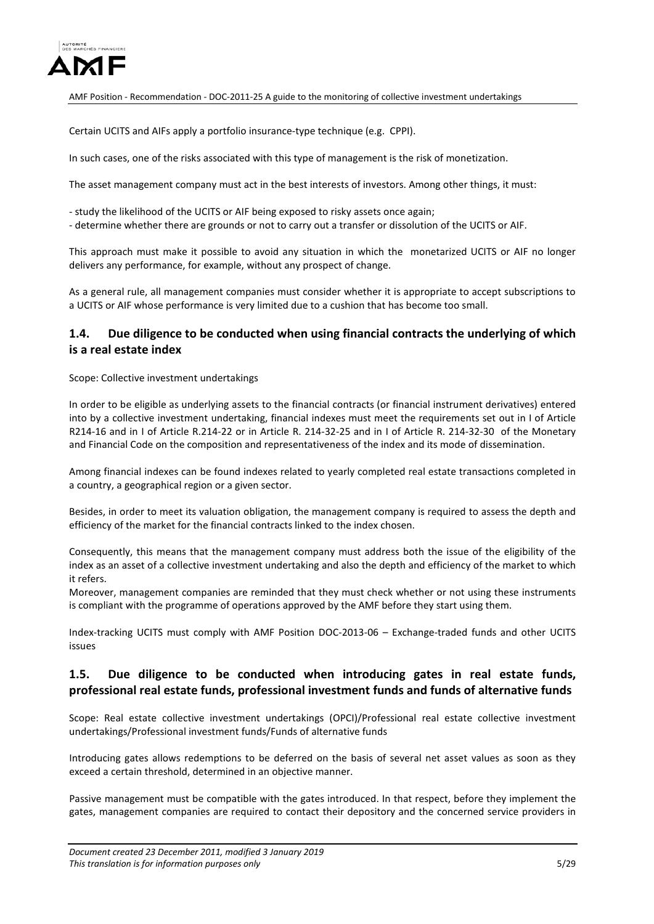

Certain UCITS and AIFs apply a portfolio insurance-type technique (e.g. CPPI).

In such cases, one of the risks associated with this type of management is the risk of monetization.

The asset management company must act in the best interests of investors. Among other things, it must:

- study the likelihood of the UCITS or AIF being exposed to risky assets once again;

- determine whether there are grounds or not to carry out a transfer or dissolution of the UCITS or AIF.

This approach must make it possible to avoid any situation in which the monetarized UCITS or AIF no longer delivers any performance, for example, without any prospect of change.

As a general rule, all management companies must consider whether it is appropriate to accept subscriptions to a UCITS or AIF whose performance is very limited due to a cushion that has become too small.

## <span id="page-4-0"></span>**1.4. Due diligence to be conducted when using financial contracts the underlying of which is a real estate index**

Scope: Collective investment undertakings

In order to be eligible as underlying assets to the financial contracts (or financial instrument derivatives) entered into by a collective investment undertaking, financial indexes must meet the requirements set out in I of Article R214-16 and in I of Article R.214-22 or in Article R. 214-32-25 and in I of Article R. 214-32-30 of the Monetary and Financial Code on the composition and representativeness of the index and its mode of dissemination.

Among financial indexes can be found indexes related to yearly completed real estate transactions completed in a country, a geographical region or a given sector.

Besides, in order to meet its valuation obligation, the management company is required to assess the depth and efficiency of the market for the financial contracts linked to the index chosen.

Consequently, this means that the management company must address both the issue of the eligibility of the index as an asset of a collective investment undertaking and also the depth and efficiency of the market to which it refers.

Moreover, management companies are reminded that they must check whether or not using these instruments is compliant with the programme of operations approved by the AMF before they start using them.

Index-tracking UCITS must comply with AMF Position DOC-2013-06 – Exchange-traded funds and other UCITS issues

### <span id="page-4-1"></span>**1.5. Due diligence to be conducted when introducing gates in real estate funds, professional real estate funds, professional investment funds and funds of alternative funds**

Scope: Real estate collective investment undertakings (OPCI)/Professional real estate collective investment undertakings/Professional investment funds/Funds of alternative funds

Introducing gates allows redemptions to be deferred on the basis of several net asset values as soon as they exceed a certain threshold, determined in an objective manner.

Passive management must be compatible with the gates introduced. In that respect, before they implement the gates, management companies are required to contact their depository and the concerned service providers in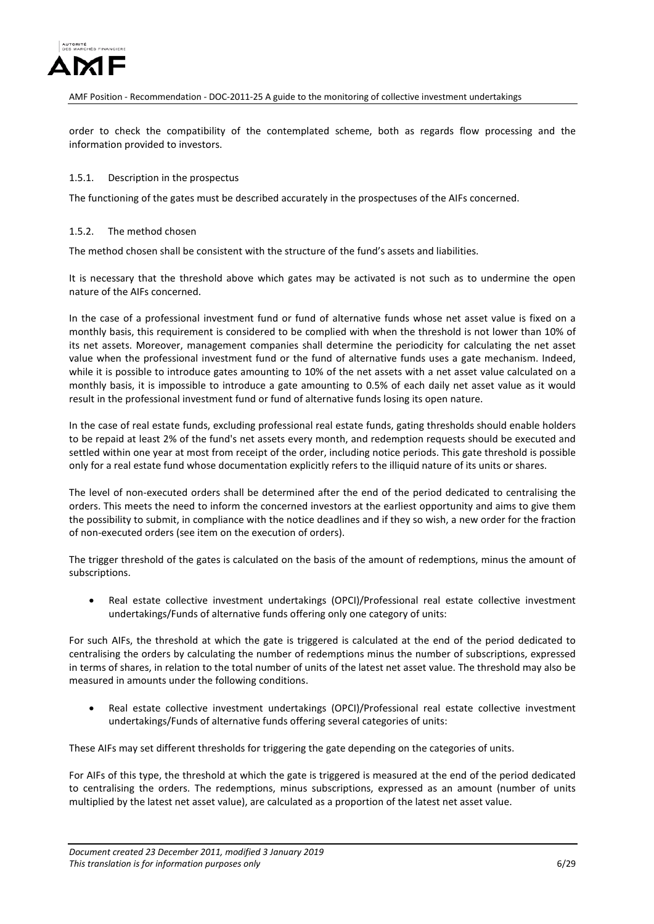

order to check the compatibility of the contemplated scheme, both as regards flow processing and the information provided to investors.

#### <span id="page-5-0"></span>1.5.1. Description in the prospectus

The functioning of the gates must be described accurately in the prospectuses of the AIFs concerned.

#### <span id="page-5-1"></span>1.5.2. The method chosen

The method chosen shall be consistent with the structure of the fund's assets and liabilities.

It is necessary that the threshold above which gates may be activated is not such as to undermine the open nature of the AIFs concerned.

In the case of a professional investment fund or fund of alternative funds whose net asset value is fixed on a monthly basis, this requirement is considered to be complied with when the threshold is not lower than 10% of its net assets. Moreover, management companies shall determine the periodicity for calculating the net asset value when the professional investment fund or the fund of alternative funds uses a gate mechanism. Indeed, while it is possible to introduce gates amounting to 10% of the net assets with a net asset value calculated on a monthly basis, it is impossible to introduce a gate amounting to 0.5% of each daily net asset value as it would result in the professional investment fund or fund of alternative funds losing its open nature.

In the case of real estate funds, excluding professional real estate funds, gating thresholds should enable holders to be repaid at least 2% of the fund's net assets every month, and redemption requests should be executed and settled within one year at most from receipt of the order, including notice periods. This gate threshold is possible only for a real estate fund whose documentation explicitly refers to the illiquid nature of its units or shares.

The level of non-executed orders shall be determined after the end of the period dedicated to centralising the orders. This meets the need to inform the concerned investors at the earliest opportunity and aims to give them the possibility to submit, in compliance with the notice deadlines and if they so wish, a new order for the fraction of non-executed orders (see item on the execution of orders).

The trigger threshold of the gates is calculated on the basis of the amount of redemptions, minus the amount of subscriptions.

• Real estate collective investment undertakings (OPCI)/Professional real estate collective investment undertakings/Funds of alternative funds offering only one category of units:

For such AIFs, the threshold at which the gate is triggered is calculated at the end of the period dedicated to centralising the orders by calculating the number of redemptions minus the number of subscriptions, expressed in terms of shares, in relation to the total number of units of the latest net asset value. The threshold may also be measured in amounts under the following conditions.

• Real estate collective investment undertakings (OPCI)/Professional real estate collective investment undertakings/Funds of alternative funds offering several categories of units:

These AIFs may set different thresholds for triggering the gate depending on the categories of units.

For AIFs of this type, the threshold at which the gate is triggered is measured at the end of the period dedicated to centralising the orders. The redemptions, minus subscriptions, expressed as an amount (number of units multiplied by the latest net asset value), are calculated as a proportion of the latest net asset value.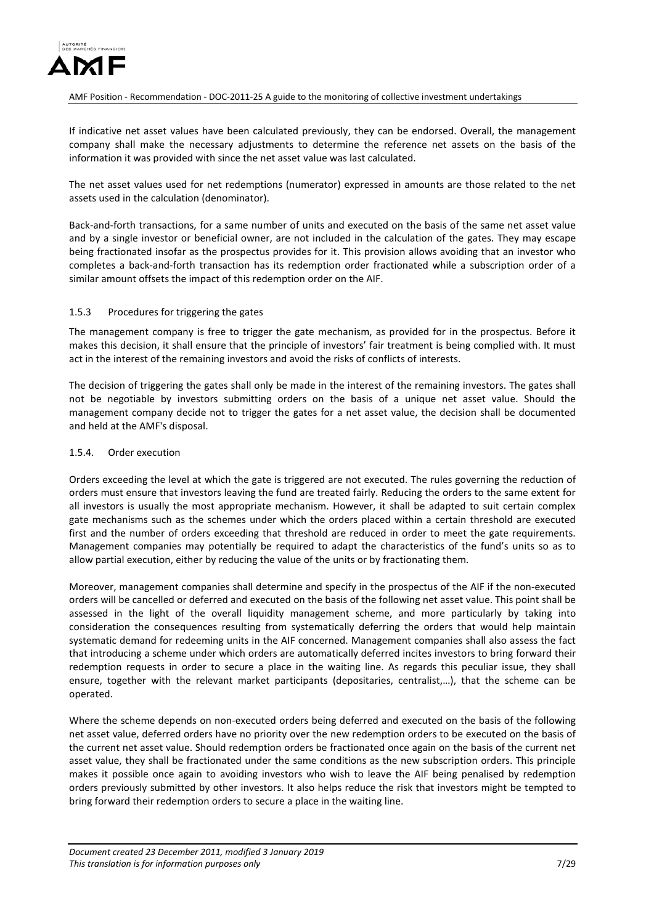

If indicative net asset values have been calculated previously, they can be endorsed. Overall, the management company shall make the necessary adjustments to determine the reference net assets on the basis of the information it was provided with since the net asset value was last calculated.

The net asset values used for net redemptions (numerator) expressed in amounts are those related to the net assets used in the calculation (denominator).

Back-and-forth transactions, for a same number of units and executed on the basis of the same net asset value and by a single investor or beneficial owner, are not included in the calculation of the gates. They may escape being fractionated insofar as the prospectus provides for it. This provision allows avoiding that an investor who completes a back-and-forth transaction has its redemption order fractionated while a subscription order of a similar amount offsets the impact of this redemption order on the AIF.

#### <span id="page-6-0"></span>1.5.3 Procedures for triggering the gates

The management company is free to trigger the gate mechanism, as provided for in the prospectus. Before it makes this decision, it shall ensure that the principle of investors' fair treatment is being complied with. It must act in the interest of the remaining investors and avoid the risks of conflicts of interests.

The decision of triggering the gates shall only be made in the interest of the remaining investors. The gates shall not be negotiable by investors submitting orders on the basis of a unique net asset value. Should the management company decide not to trigger the gates for a net asset value, the decision shall be documented and held at the AMF's disposal.

#### <span id="page-6-1"></span>1.5.4. Order execution

Orders exceeding the level at which the gate is triggered are not executed. The rules governing the reduction of orders must ensure that investors leaving the fund are treated fairly. Reducing the orders to the same extent for all investors is usually the most appropriate mechanism. However, it shall be adapted to suit certain complex gate mechanisms such as the schemes under which the orders placed within a certain threshold are executed first and the number of orders exceeding that threshold are reduced in order to meet the gate requirements. Management companies may potentially be required to adapt the characteristics of the fund's units so as to allow partial execution, either by reducing the value of the units or by fractionating them.

Moreover, management companies shall determine and specify in the prospectus of the AIF if the non-executed orders will be cancelled or deferred and executed on the basis of the following net asset value. This point shall be assessed in the light of the overall liquidity management scheme, and more particularly by taking into consideration the consequences resulting from systematically deferring the orders that would help maintain systematic demand for redeeming units in the AIF concerned. Management companies shall also assess the fact that introducing a scheme under which orders are automatically deferred incites investors to bring forward their redemption requests in order to secure a place in the waiting line. As regards this peculiar issue, they shall ensure, together with the relevant market participants (depositaries, centralist,…), that the scheme can be operated.

Where the scheme depends on non-executed orders being deferred and executed on the basis of the following net asset value, deferred orders have no priority over the new redemption orders to be executed on the basis of the current net asset value. Should redemption orders be fractionated once again on the basis of the current net asset value, they shall be fractionated under the same conditions as the new subscription orders. This principle makes it possible once again to avoiding investors who wish to leave the AIF being penalised by redemption orders previously submitted by other investors. It also helps reduce the risk that investors might be tempted to bring forward their redemption orders to secure a place in the waiting line.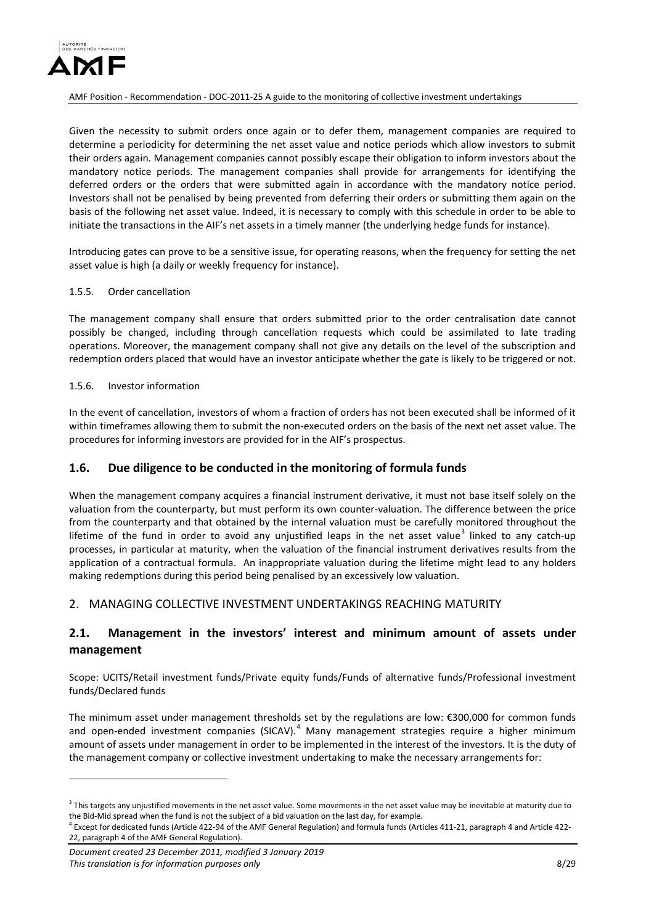

Given the necessity to submit orders once again or to defer them, management companies are required to determine a periodicity for determining the net asset value and notice periods which allow investors to submit their orders again. Management companies cannot possibly escape their obligation to inform investors about the mandatory notice periods. The management companies shall provide for arrangements for identifying the deferred orders or the orders that were submitted again in accordance with the mandatory notice period. Investors shall not be penalised by being prevented from deferring their orders or submitting them again on the basis of the following net asset value. Indeed, it is necessary to comply with this schedule in order to be able to initiate the transactions in the AIF's net assets in a timely manner (the underlying hedge funds for instance).

Introducing gates can prove to be a sensitive issue, for operating reasons, when the frequency for setting the net asset value is high (a daily or weekly frequency for instance).

#### <span id="page-7-0"></span>1.5.5. Order cancellation

The management company shall ensure that orders submitted prior to the order centralisation date cannot possibly be changed, including through cancellation requests which could be assimilated to late trading operations. Moreover, the management company shall not give any details on the level of the subscription and redemption orders placed that would have an investor anticipate whether the gate is likely to be triggered or not.

#### <span id="page-7-1"></span>1.5.6. Investor information

In the event of cancellation, investors of whom a fraction of orders has not been executed shall be informed of it within timeframes allowing them to submit the non-executed orders on the basis of the next net asset value. The procedures for informing investors are provided for in the AIF's prospectus.

## <span id="page-7-2"></span>**1.6. Due diligence to be conducted in the monitoring of formula funds**

When the management company acquires a financial instrument derivative, it must not base itself solely on the valuation from the counterparty, but must perform its own counter-valuation. The difference between the price from the counterparty and that obtained by the internal valuation must be carefully monitored throughout the lifetime of the fund in order to avoid any uniustified leaps in the net asset value<sup>[3](#page-7-5)</sup> linked to any catch-up processes, in particular at maturity, when the valuation of the financial instrument derivatives results from the application of a contractual formula. An inappropriate valuation during the lifetime might lead to any holders making redemptions during this period being penalised by an excessively low valuation.

### <span id="page-7-3"></span>2. MANAGING COLLECTIVE INVESTMENT UNDERTAKINGS REACHING MATURITY

## <span id="page-7-4"></span>**2.1. Management in the investors' interest and minimum amount of assets under management**

Scope: UCITS/Retail investment funds/Private equity funds/Funds of alternative funds/Professional investment funds/Declared funds

The minimum asset under management thresholds set by the regulations are low: €300,000 for common funds and open-ended investment companies (SICAV).<sup>[4](#page-7-6)</sup> Many management strategies require a higher minimum amount of assets under management in order to be implemented in the interest of the investors. It is the duty of the management company or collective investment undertaking to make the necessary arrangements for:

<u>.</u>

<span id="page-7-5"></span> $3$  This targets any unjustified movements in the net asset value. Some movements in the net asset value may be inevitable at maturity due to the Bid-Mid spread when the fund is not the subject of a bid valuation on the last day, for example.

<span id="page-7-6"></span> $^4$  Except for dedicated funds (Article 422-94 of the AMF General Regulation) and formula funds (Articles 411-21, paragraph 4 and Article 422-22, paragraph 4 of the AMF General Regulation).

*Document created 23 December 2011, modified 3 January 2019 This translation is for information purposes only* 8/29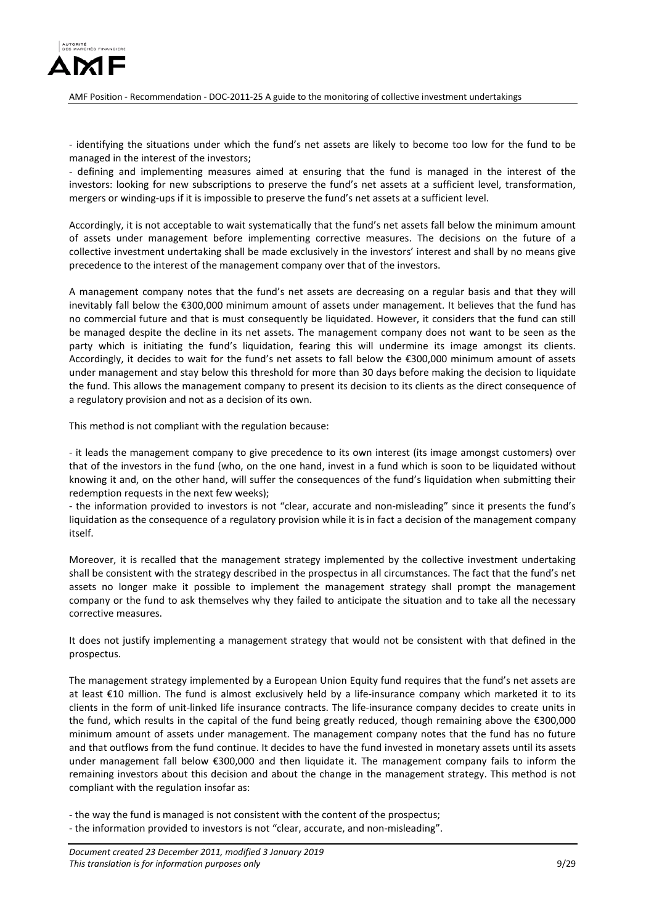

- identifying the situations under which the fund's net assets are likely to become too low for the fund to be managed in the interest of the investors;

- defining and implementing measures aimed at ensuring that the fund is managed in the interest of the investors: looking for new subscriptions to preserve the fund's net assets at a sufficient level, transformation, mergers or winding-ups if it is impossible to preserve the fund's net assets at a sufficient level.

Accordingly, it is not acceptable to wait systematically that the fund's net assets fall below the minimum amount of assets under management before implementing corrective measures. The decisions on the future of a collective investment undertaking shall be made exclusively in the investors' interest and shall by no means give precedence to the interest of the management company over that of the investors.

A management company notes that the fund's net assets are decreasing on a regular basis and that they will inevitably fall below the €300,000 minimum amount of assets under management. It believes that the fund has no commercial future and that is must consequently be liquidated. However, it considers that the fund can still be managed despite the decline in its net assets. The management company does not want to be seen as the party which is initiating the fund's liquidation, fearing this will undermine its image amongst its clients. Accordingly, it decides to wait for the fund's net assets to fall below the €300,000 minimum amount of assets under management and stay below this threshold for more than 30 days before making the decision to liquidate the fund. This allows the management company to present its decision to its clients as the direct consequence of a regulatory provision and not as a decision of its own.

This method is not compliant with the regulation because:

- it leads the management company to give precedence to its own interest (its image amongst customers) over that of the investors in the fund (who, on the one hand, invest in a fund which is soon to be liquidated without knowing it and, on the other hand, will suffer the consequences of the fund's liquidation when submitting their redemption requests in the next few weeks);

- the information provided to investors is not "clear, accurate and non-misleading" since it presents the fund's liquidation as the consequence of a regulatory provision while it is in fact a decision of the management company itself.

Moreover, it is recalled that the management strategy implemented by the collective investment undertaking shall be consistent with the strategy described in the prospectus in all circumstances. The fact that the fund's net assets no longer make it possible to implement the management strategy shall prompt the management company or the fund to ask themselves why they failed to anticipate the situation and to take all the necessary corrective measures.

It does not justify implementing a management strategy that would not be consistent with that defined in the prospectus.

The management strategy implemented by a European Union Equity fund requires that the fund's net assets are at least €10 million. The fund is almost exclusively held by a life-insurance company which marketed it to its clients in the form of unit-linked life insurance contracts. The life-insurance company decides to create units in the fund, which results in the capital of the fund being greatly reduced, though remaining above the €300,000 minimum amount of assets under management. The management company notes that the fund has no future and that outflows from the fund continue. It decides to have the fund invested in monetary assets until its assets under management fall below €300,000 and then liquidate it. The management company fails to inform the remaining investors about this decision and about the change in the management strategy. This method is not compliant with the regulation insofar as:

- the way the fund is managed is not consistent with the content of the prospectus;

- the information provided to investors is not "clear, accurate, and non-misleading".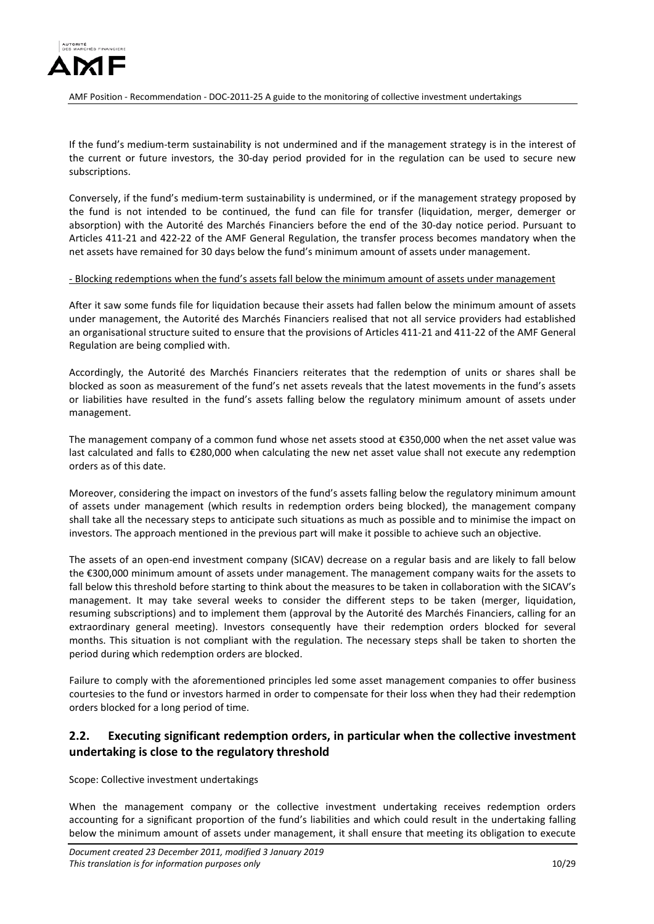

If the fund's medium-term sustainability is not undermined and if the management strategy is in the interest of the current or future investors, the 30-day period provided for in the regulation can be used to secure new subscriptions.

Conversely, if the fund's medium-term sustainability is undermined, or if the management strategy proposed by the fund is not intended to be continued, the fund can file for transfer (liquidation, merger, demerger or absorption) with the Autorité des Marchés Financiers before the end of the 30-day notice period. Pursuant to Articles 411-21 and 422-22 of the AMF General Regulation, the transfer process becomes mandatory when the net assets have remained for 30 days below the fund's minimum amount of assets under management.

#### - Blocking redemptions when the fund's assets fall below the minimum amount of assets under management

After it saw some funds file for liquidation because their assets had fallen below the minimum amount of assets under management, the Autorité des Marchés Financiers realised that not all service providers had established an organisational structure suited to ensure that the provisions of Articles 411-21 and 411-22 of the AMF General Regulation are being complied with.

Accordingly, the Autorité des Marchés Financiers reiterates that the redemption of units or shares shall be blocked as soon as measurement of the fund's net assets reveals that the latest movements in the fund's assets or liabilities have resulted in the fund's assets falling below the regulatory minimum amount of assets under management.

The management company of a common fund whose net assets stood at €350,000 when the net asset value was last calculated and falls to €280,000 when calculating the new net asset value shall not execute any redemption orders as of this date.

Moreover, considering the impact on investors of the fund's assets falling below the regulatory minimum amount of assets under management (which results in redemption orders being blocked), the management company shall take all the necessary steps to anticipate such situations as much as possible and to minimise the impact on investors. The approach mentioned in the previous part will make it possible to achieve such an objective.

The assets of an open-end investment company (SICAV) decrease on a regular basis and are likely to fall below the €300,000 minimum amount of assets under management. The management company waits for the assets to fall below this threshold before starting to think about the measures to be taken in collaboration with the SICAV's management. It may take several weeks to consider the different steps to be taken (merger, liquidation, resuming subscriptions) and to implement them (approval by the Autorité des Marchés Financiers, calling for an extraordinary general meeting). Investors consequently have their redemption orders blocked for several months. This situation is not compliant with the regulation. The necessary steps shall be taken to shorten the period during which redemption orders are blocked.

Failure to comply with the aforementioned principles led some asset management companies to offer business courtesies to the fund or investors harmed in order to compensate for their loss when they had their redemption orders blocked for a long period of time.

# <span id="page-9-0"></span>**2.2. Executing significant redemption orders, in particular when the collective investment undertaking is close to the regulatory threshold**

Scope: Collective investment undertakings

When the management company or the collective investment undertaking receives redemption orders accounting for a significant proportion of the fund's liabilities and which could result in the undertaking falling below the minimum amount of assets under management, it shall ensure that meeting its obligation to execute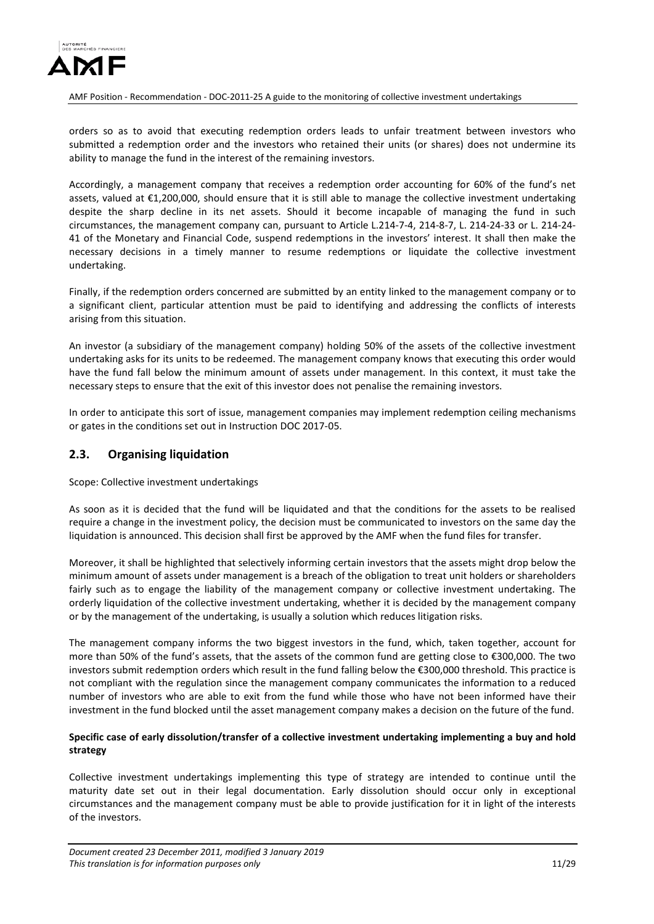

orders so as to avoid that executing redemption orders leads to unfair treatment between investors who submitted a redemption order and the investors who retained their units (or shares) does not undermine its ability to manage the fund in the interest of the remaining investors.

Accordingly, a management company that receives a redemption order accounting for 60% of the fund's net assets, valued at €1,200,000, should ensure that it is still able to manage the collective investment undertaking despite the sharp decline in its net assets. Should it become incapable of managing the fund in such circumstances, the management company can, pursuant to Article L.214-7-4, 214-8-7, L. 214-24-33 or L. 214-24- 41 of the Monetary and Financial Code, suspend redemptions in the investors' interest. It shall then make the necessary decisions in a timely manner to resume redemptions or liquidate the collective investment undertaking.

Finally, if the redemption orders concerned are submitted by an entity linked to the management company or to a significant client, particular attention must be paid to identifying and addressing the conflicts of interests arising from this situation.

An investor (a subsidiary of the management company) holding 50% of the assets of the collective investment undertaking asks for its units to be redeemed. The management company knows that executing this order would have the fund fall below the minimum amount of assets under management. In this context, it must take the necessary steps to ensure that the exit of this investor does not penalise the remaining investors.

In order to anticipate this sort of issue, management companies may implement redemption ceiling mechanisms or gates in the conditions set out in Instruction DOC 2017-05.

## <span id="page-10-0"></span>**2.3. Organising liquidation**

Scope: Collective investment undertakings

As soon as it is decided that the fund will be liquidated and that the conditions for the assets to be realised require a change in the investment policy, the decision must be communicated to investors on the same day the liquidation is announced. This decision shall first be approved by the AMF when the fund files for transfer.

Moreover, it shall be highlighted that selectively informing certain investors that the assets might drop below the minimum amount of assets under management is a breach of the obligation to treat unit holders or shareholders fairly such as to engage the liability of the management company or collective investment undertaking. The orderly liquidation of the collective investment undertaking, whether it is decided by the management company or by the management of the undertaking, is usually a solution which reduces litigation risks.

The management company informs the two biggest investors in the fund, which, taken together, account for more than 50% of the fund's assets, that the assets of the common fund are getting close to €300,000. The two investors submit redemption orders which result in the fund falling below the €300,000 threshold. This practice is not compliant with the regulation since the management company communicates the information to a reduced number of investors who are able to exit from the fund while those who have not been informed have their investment in the fund blocked until the asset management company makes a decision on the future of the fund.

### **Specific case of early dissolution/transfer of a collective investment undertaking implementing a buy and hold strategy**

Collective investment undertakings implementing this type of strategy are intended to continue until the maturity date set out in their legal documentation. Early dissolution should occur only in exceptional circumstances and the management company must be able to provide justification for it in light of the interests of the investors.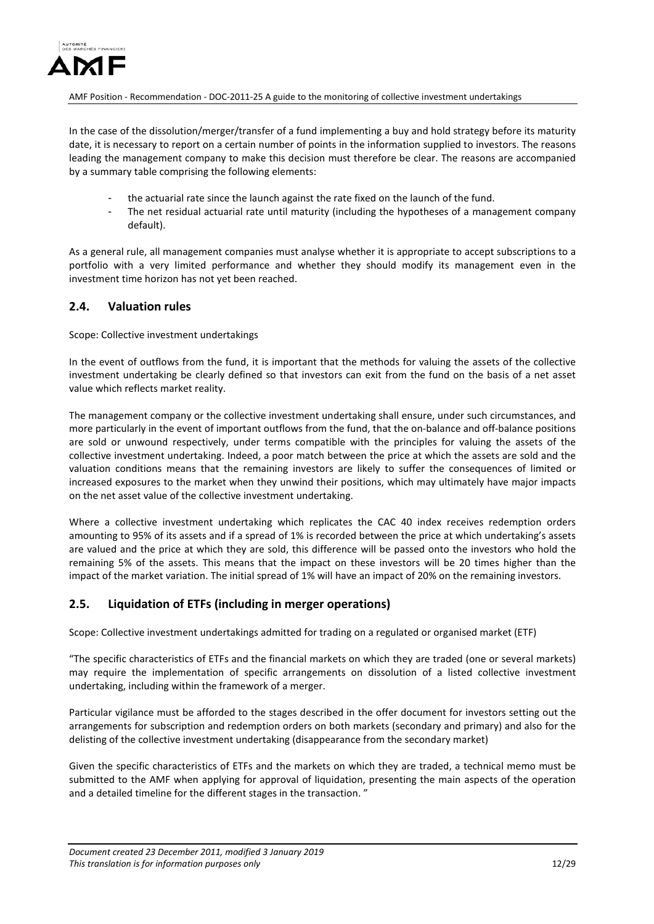

In the case of the dissolution/merger/transfer of a fund implementing a buy and hold strategy before its maturity date, it is necessary to report on a certain number of points in the information supplied to investors. The reasons leading the management company to make this decision must therefore be clear. The reasons are accompanied by a summary table comprising the following elements:

- the actuarial rate since the launch against the rate fixed on the launch of the fund.
- The net residual actuarial rate until maturity (including the hypotheses of a management company default).

As a general rule, all management companies must analyse whether it is appropriate to accept subscriptions to a portfolio with a very limited performance and whether they should modify its management even in the investment time horizon has not yet been reached.

# <span id="page-11-0"></span>**2.4. Valuation rules**

Scope: Collective investment undertakings

In the event of outflows from the fund, it is important that the methods for valuing the assets of the collective investment undertaking be clearly defined so that investors can exit from the fund on the basis of a net asset value which reflects market reality.

The management company or the collective investment undertaking shall ensure, under such circumstances, and more particularly in the event of important outflows from the fund, that the on-balance and off-balance positions are sold or unwound respectively, under terms compatible with the principles for valuing the assets of the collective investment undertaking. Indeed, a poor match between the price at which the assets are sold and the valuation conditions means that the remaining investors are likely to suffer the consequences of limited or increased exposures to the market when they unwind their positions, which may ultimately have major impacts on the net asset value of the collective investment undertaking.

Where a collective investment undertaking which replicates the CAC 40 index receives redemption orders amounting to 95% of its assets and if a spread of 1% is recorded between the price at which undertaking's assets are valued and the price at which they are sold, this difference will be passed onto the investors who hold the remaining 5% of the assets. This means that the impact on these investors will be 20 times higher than the impact of the market variation. The initial spread of 1% will have an impact of 20% on the remaining investors.

## <span id="page-11-1"></span>**2.5. Liquidation of ETFs (including in merger operations)**

Scope: Collective investment undertakings admitted for trading on a regulated or organised market (ETF)

"The specific characteristics of ETFs and the financial markets on which they are traded (one or several markets) may require the implementation of specific arrangements on dissolution of a listed collective investment undertaking, including within the framework of a merger.

Particular vigilance must be afforded to the stages described in the offer document for investors setting out the arrangements for subscription and redemption orders on both markets (secondary and primary) and also for the delisting of the collective investment undertaking (disappearance from the secondary market)

Given the specific characteristics of ETFs and the markets on which they are traded, a technical memo must be submitted to the AMF when applying for approval of liquidation, presenting the main aspects of the operation and a detailed timeline for the different stages in the transaction. "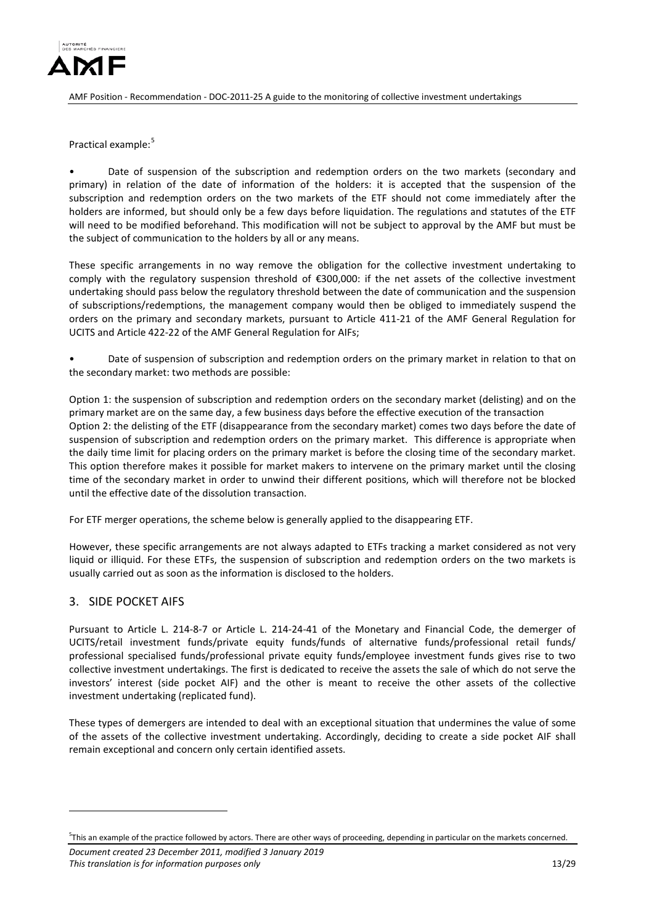

Practical example:<sup>[5](#page-12-1)</sup>

Date of suspension of the subscription and redemption orders on the two markets (secondary and primary) in relation of the date of information of the holders: it is accepted that the suspension of the subscription and redemption orders on the two markets of the ETF should not come immediately after the holders are informed, but should only be a few days before liquidation. The regulations and statutes of the ETF will need to be modified beforehand. This modification will not be subject to approval by the AMF but must be the subject of communication to the holders by all or any means.

These specific arrangements in no way remove the obligation for the collective investment undertaking to comply with the regulatory suspension threshold of €300,000: if the net assets of the collective investment undertaking should pass below the regulatory threshold between the date of communication and the suspension of subscriptions/redemptions, the management company would then be obliged to immediately suspend the orders on the primary and secondary markets, pursuant to Article 411-21 of the AMF General Regulation for UCITS and Article 422-22 of the AMF General Regulation for AIFs;

• Date of suspension of subscription and redemption orders on the primary market in relation to that on the secondary market: two methods are possible:

Option 1: the suspension of subscription and redemption orders on the secondary market (delisting) and on the primary market are on the same day, a few business days before the effective execution of the transaction Option 2: the delisting of the ETF (disappearance from the secondary market) comes two days before the date of suspension of subscription and redemption orders on the primary market. This difference is appropriate when the daily time limit for placing orders on the primary market is before the closing time of the secondary market. This option therefore makes it possible for market makers to intervene on the primary market until the closing time of the secondary market in order to unwind their different positions, which will therefore not be blocked until the effective date of the dissolution transaction.

For ETF merger operations, the scheme below is generally applied to the disappearing ETF.

However, these specific arrangements are not always adapted to ETFs tracking a market considered as not very liquid or illiquid. For these ETFs, the suspension of subscription and redemption orders on the two markets is usually carried out as soon as the information is disclosed to the holders.

## <span id="page-12-0"></span>3. SIDE POCKET AIFS

<u>.</u>

Pursuant to Article L. 214-8-7 or Article L. 214-24-41 of the Monetary and Financial Code, the demerger of UCITS/retail investment funds/private equity funds/funds of alternative funds/professional retail funds/ professional specialised funds/professional private equity funds/employee investment funds gives rise to two collective investment undertakings. The first is dedicated to receive the assets the sale of which do not serve the investors' interest (side pocket AIF) and the other is meant to receive the other assets of the collective investment undertaking (replicated fund).

These types of demergers are intended to deal with an exceptional situation that undermines the value of some of the assets of the collective investment undertaking. Accordingly, deciding to create a side pocket AIF shall remain exceptional and concern only certain identified assets.

*Document created 23 December 2011, modified 3 January 2019 This translation is for information purposes only* 13/29

<span id="page-12-1"></span><sup>5</sup> This an example of the practice followed by actors. There are other ways of proceeding, depending in particular on the markets concerned.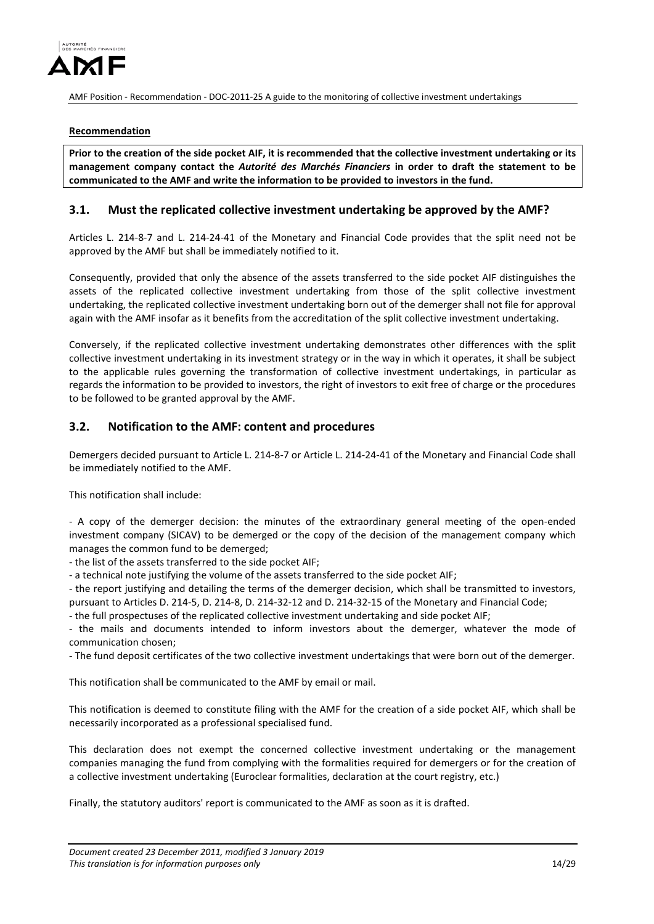

#### **Recommendation**

**Prior to the creation of the side pocket AIF, it is recommended that the collective investment undertaking or its management company contact the** *Autorité des Marchés Financiers* **in order to draft the statement to be communicated to the AMF and write the information to be provided to investors in the fund.**

### <span id="page-13-0"></span>**3.1. Must the replicated collective investment undertaking be approved by the AMF?**

Articles L. 214-8-7 and L. 214-24-41 of the Monetary and Financial Code provides that the split need not be approved by the AMF but shall be immediately notified to it.

Consequently, provided that only the absence of the assets transferred to the side pocket AIF distinguishes the assets of the replicated collective investment undertaking from those of the split collective investment undertaking, the replicated collective investment undertaking born out of the demerger shall not file for approval again with the AMF insofar as it benefits from the accreditation of the split collective investment undertaking.

Conversely, if the replicated collective investment undertaking demonstrates other differences with the split collective investment undertaking in its investment strategy or in the way in which it operates, it shall be subject to the applicable rules governing the transformation of collective investment undertakings, in particular as regards the information to be provided to investors, the right of investors to exit free of charge or the procedures to be followed to be granted approval by the AMF.

### <span id="page-13-1"></span>**3.2. Notification to the AMF: content and procedures**

Demergers decided pursuant to Article L. 214-8-7 or Article L. 214-24-41 of the Monetary and Financial Code shall be immediately notified to the AMF.

This notification shall include:

- A copy of the demerger decision: the minutes of the extraordinary general meeting of the open-ended investment company (SICAV) to be demerged or the copy of the decision of the management company which manages the common fund to be demerged;

- the list of the assets transferred to the side pocket AIF;

- a technical note justifying the volume of the assets transferred to the side pocket AIF;

- the report justifying and detailing the terms of the demerger decision, which shall be transmitted to investors, pursuant to Articles D. 214-5, D. 214-8, D. 214-32-12 and D. 214-32-15 of the Monetary and Financial Code;

- the full prospectuses of the replicated collective investment undertaking and side pocket AIF;

- the mails and documents intended to inform investors about the demerger, whatever the mode of communication chosen;

- The fund deposit certificates of the two collective investment undertakings that were born out of the demerger.

This notification shall be communicated to the AMF by email or mail.

This notification is deemed to constitute filing with the AMF for the creation of a side pocket AIF, which shall be necessarily incorporated as a professional specialised fund.

This declaration does not exempt the concerned collective investment undertaking or the management companies managing the fund from complying with the formalities required for demergers or for the creation of a collective investment undertaking (Euroclear formalities, declaration at the court registry, etc.)

Finally, the statutory auditors' report is communicated to the AMF as soon as it is drafted.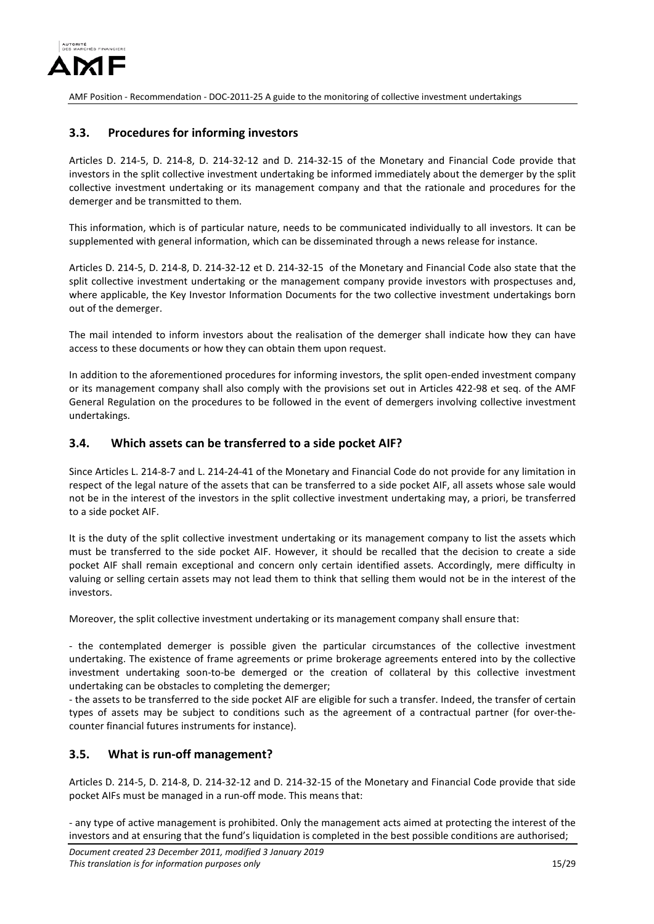

## <span id="page-14-0"></span>**3.3. Procedures for informing investors**

Articles D. 214-5, D. 214-8, D. 214-32-12 and D. 214-32-15 of the Monetary and Financial Code provide that investors in the split collective investment undertaking be informed immediately about the demerger by the split collective investment undertaking or its management company and that the rationale and procedures for the demerger and be transmitted to them.

This information, which is of particular nature, needs to be communicated individually to all investors. It can be supplemented with general information, which can be disseminated through a news release for instance.

Articles D. 214-5, D. 214-8, D. 214-32-12 et D. 214-32-15 of the Monetary and Financial Code also state that the split collective investment undertaking or the management company provide investors with prospectuses and, where applicable, the Key Investor Information Documents for the two collective investment undertakings born out of the demerger.

The mail intended to inform investors about the realisation of the demerger shall indicate how they can have access to these documents or how they can obtain them upon request.

In addition to the aforementioned procedures for informing investors, the split open-ended investment company or its management company shall also comply with the provisions set out in Articles 422-98 et seq. of the AMF General Regulation on the procedures to be followed in the event of demergers involving collective investment undertakings.

### <span id="page-14-1"></span>**3.4. Which assets can be transferred to a side pocket AIF?**

Since Articles L. 214-8-7 and L. 214-24-41 of the Monetary and Financial Code do not provide for any limitation in respect of the legal nature of the assets that can be transferred to a side pocket AIF, all assets whose sale would not be in the interest of the investors in the split collective investment undertaking may, a priori, be transferred to a side pocket AIF.

It is the duty of the split collective investment undertaking or its management company to list the assets which must be transferred to the side pocket AIF. However, it should be recalled that the decision to create a side pocket AIF shall remain exceptional and concern only certain identified assets. Accordingly, mere difficulty in valuing or selling certain assets may not lead them to think that selling them would not be in the interest of the investors.

Moreover, the split collective investment undertaking or its management company shall ensure that:

- the contemplated demerger is possible given the particular circumstances of the collective investment undertaking. The existence of frame agreements or prime brokerage agreements entered into by the collective investment undertaking soon-to-be demerged or the creation of collateral by this collective investment undertaking can be obstacles to completing the demerger;

- the assets to be transferred to the side pocket AIF are eligible for such a transfer. Indeed, the transfer of certain types of assets may be subject to conditions such as the agreement of a contractual partner (for over-thecounter financial futures instruments for instance).

## <span id="page-14-2"></span>**3.5. What is run-off management?**

Articles D. 214-5, D. 214-8, D. 214-32-12 and D. 214-32-15 of the Monetary and Financial Code provide that side pocket AIFs must be managed in a run-off mode. This means that:

- any type of active management is prohibited. Only the management acts aimed at protecting the interest of the investors and at ensuring that the fund's liquidation is completed in the best possible conditions are authorised;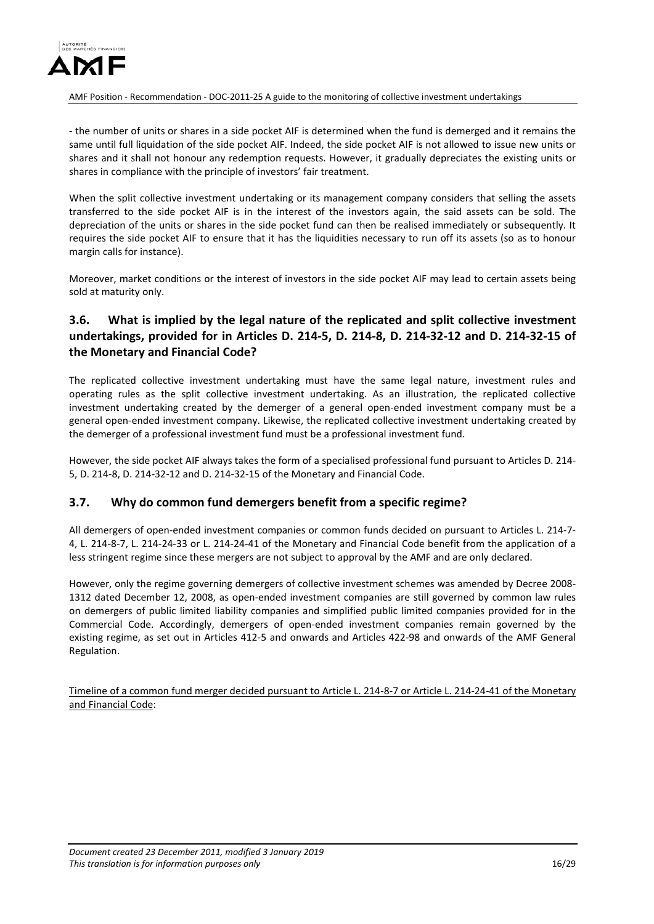

- the number of units or shares in a side pocket AIF is determined when the fund is demerged and it remains the same until full liquidation of the side pocket AIF. Indeed, the side pocket AIF is not allowed to issue new units or shares and it shall not honour any redemption requests. However, it gradually depreciates the existing units or shares in compliance with the principle of investors' fair treatment.

When the split collective investment undertaking or its management company considers that selling the assets transferred to the side pocket AIF is in the interest of the investors again, the said assets can be sold. The depreciation of the units or shares in the side pocket fund can then be realised immediately or subsequently. It requires the side pocket AIF to ensure that it has the liquidities necessary to run off its assets (so as to honour margin calls for instance).

Moreover, market conditions or the interest of investors in the side pocket AIF may lead to certain assets being sold at maturity only.

# <span id="page-15-0"></span>**3.6. What is implied by the legal nature of the replicated and split collective investment undertakings, provided for in Articles D. 214-5, D. 214-8, D. 214-32-12 and D. 214-32-15 of the Monetary and Financial Code?**

The replicated collective investment undertaking must have the same legal nature, investment rules and operating rules as the split collective investment undertaking. As an illustration, the replicated collective investment undertaking created by the demerger of a general open-ended investment company must be a general open-ended investment company. Likewise, the replicated collective investment undertaking created by the demerger of a professional investment fund must be a professional investment fund.

However, the side pocket AIF always takes the form of a specialised professional fund pursuant to Articles D. 214- 5, D. 214-8, D. 214-32-12 and D. 214-32-15 of the Monetary and Financial Code.

## <span id="page-15-1"></span>**3.7. Why do common fund demergers benefit from a specific regime?**

All demergers of open-ended investment companies or common funds decided on pursuant to Articles L. 214-7- 4, L. 214-8-7, L. 214-24-33 or L. 214-24-41 of the Monetary and Financial Code benefit from the application of a less stringent regime since these mergers are not subject to approval by the AMF and are only declared.

However, only the regime governing demergers of collective investment schemes was amended by Decree 2008- 1312 dated December 12, 2008, as open-ended investment companies are still governed by common law rules on demergers of public limited liability companies and simplified public limited companies provided for in the Commercial Code. Accordingly, demergers of open-ended investment companies remain governed by the existing regime, as set out in Articles 412-5 and onwards and Articles 422-98 and onwards of the AMF General Regulation.

Timeline of a common fund merger decided pursuant to Article L. 214-8-7 or Article L. 214-24-41 of the Monetary and Financial Code: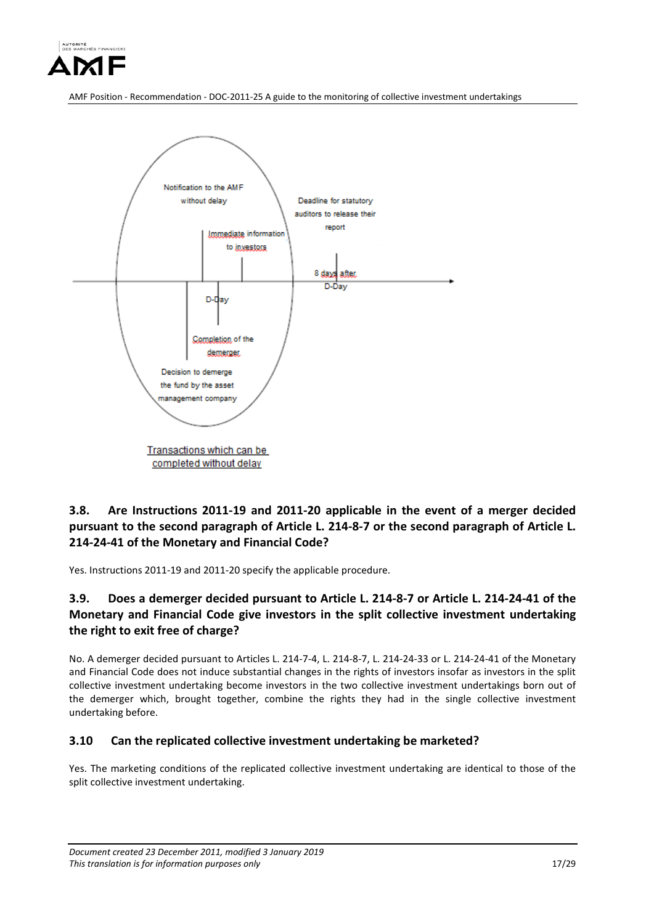



<span id="page-16-0"></span>**3.8. Are Instructions 2011-19 and 2011-20 applicable in the event of a merger decided pursuant to the second paragraph of Article L. 214-8-7 or the second paragraph of Article L. 214-24-41 of the Monetary and Financial Code?**

Yes. Instructions 2011-19 and 2011-20 specify the applicable procedure.

# <span id="page-16-1"></span>**3.9. Does a demerger decided pursuant to Article L. 214-8-7 or Article L. 214-24-41 of the Monetary and Financial Code give investors in the split collective investment undertaking the right to exit free of charge?**

No. A demerger decided pursuant to Articles L. 214-7-4, L. 214-8-7, L. 214-24-33 or L. 214-24-41 of the Monetary and Financial Code does not induce substantial changes in the rights of investors insofar as investors in the split collective investment undertaking become investors in the two collective investment undertakings born out of the demerger which, brought together, combine the rights they had in the single collective investment undertaking before.

## <span id="page-16-2"></span>**3.10 Can the replicated collective investment undertaking be marketed?**

Yes. The marketing conditions of the replicated collective investment undertaking are identical to those of the split collective investment undertaking.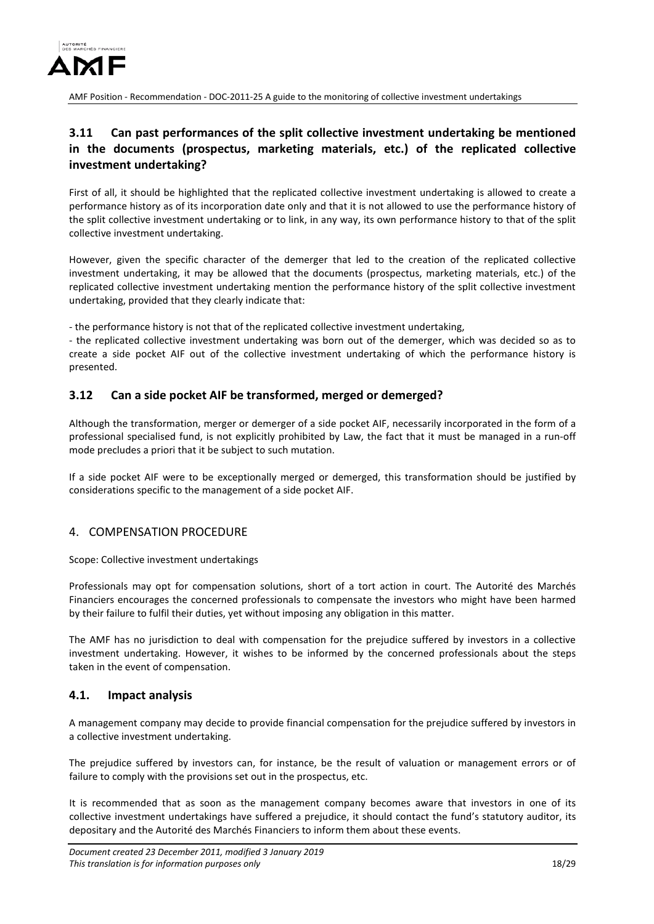

# <span id="page-17-0"></span>**3.11 Can past performances of the split collective investment undertaking be mentioned in the documents (prospectus, marketing materials, etc.) of the replicated collective investment undertaking?**

First of all, it should be highlighted that the replicated collective investment undertaking is allowed to create a performance history as of its incorporation date only and that it is not allowed to use the performance history of the split collective investment undertaking or to link, in any way, its own performance history to that of the split collective investment undertaking.

However, given the specific character of the demerger that led to the creation of the replicated collective investment undertaking, it may be allowed that the documents (prospectus, marketing materials, etc.) of the replicated collective investment undertaking mention the performance history of the split collective investment undertaking, provided that they clearly indicate that:

- the performance history is not that of the replicated collective investment undertaking,

- the replicated collective investment undertaking was born out of the demerger, which was decided so as to create a side pocket AIF out of the collective investment undertaking of which the performance history is presented.

## <span id="page-17-1"></span>**3.12 Can a side pocket AIF be transformed, merged or demerged?**

Although the transformation, merger or demerger of a side pocket AIF, necessarily incorporated in the form of a professional specialised fund, is not explicitly prohibited by Law, the fact that it must be managed in a run-off mode precludes a priori that it be subject to such mutation.

If a side pocket AIF were to be exceptionally merged or demerged, this transformation should be justified by considerations specific to the management of a side pocket AIF.

## <span id="page-17-2"></span>4. COMPENSATION PROCEDURE

Scope: Collective investment undertakings

Professionals may opt for compensation solutions, short of a tort action in court. The Autorité des Marchés Financiers encourages the concerned professionals to compensate the investors who might have been harmed by their failure to fulfil their duties, yet without imposing any obligation in this matter.

The AMF has no jurisdiction to deal with compensation for the prejudice suffered by investors in a collective investment undertaking. However, it wishes to be informed by the concerned professionals about the steps taken in the event of compensation.

### <span id="page-17-3"></span>**4.1. Impact analysis**

A management company may decide to provide financial compensation for the prejudice suffered by investors in a collective investment undertaking.

The prejudice suffered by investors can, for instance, be the result of valuation or management errors or of failure to comply with the provisions set out in the prospectus, etc.

It is recommended that as soon as the management company becomes aware that investors in one of its collective investment undertakings have suffered a prejudice, it should contact the fund's statutory auditor, its depositary and the Autorité des Marchés Financiers to inform them about these events.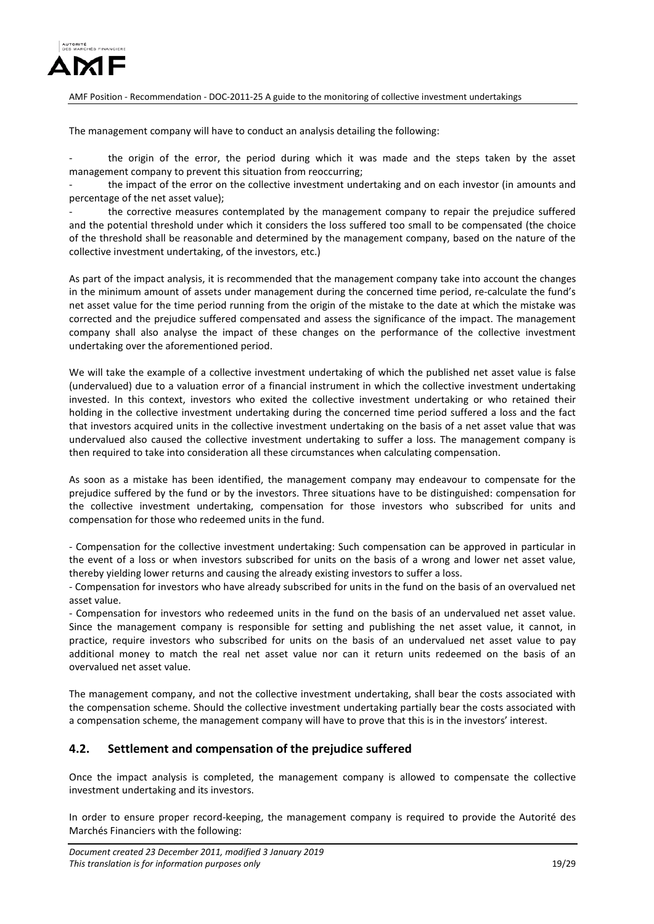

The management company will have to conduct an analysis detailing the following:

the origin of the error, the period during which it was made and the steps taken by the asset management company to prevent this situation from reoccurring;

the impact of the error on the collective investment undertaking and on each investor (in amounts and percentage of the net asset value);

the corrective measures contemplated by the management company to repair the prejudice suffered and the potential threshold under which it considers the loss suffered too small to be compensated (the choice of the threshold shall be reasonable and determined by the management company, based on the nature of the collective investment undertaking, of the investors, etc.)

As part of the impact analysis, it is recommended that the management company take into account the changes in the minimum amount of assets under management during the concerned time period, re-calculate the fund's net asset value for the time period running from the origin of the mistake to the date at which the mistake was corrected and the prejudice suffered compensated and assess the significance of the impact. The management company shall also analyse the impact of these changes on the performance of the collective investment undertaking over the aforementioned period.

We will take the example of a collective investment undertaking of which the published net asset value is false (undervalued) due to a valuation error of a financial instrument in which the collective investment undertaking invested. In this context, investors who exited the collective investment undertaking or who retained their holding in the collective investment undertaking during the concerned time period suffered a loss and the fact that investors acquired units in the collective investment undertaking on the basis of a net asset value that was undervalued also caused the collective investment undertaking to suffer a loss. The management company is then required to take into consideration all these circumstances when calculating compensation.

As soon as a mistake has been identified, the management company may endeavour to compensate for the prejudice suffered by the fund or by the investors. Three situations have to be distinguished: compensation for the collective investment undertaking, compensation for those investors who subscribed for units and compensation for those who redeemed units in the fund.

- Compensation for the collective investment undertaking: Such compensation can be approved in particular in the event of a loss or when investors subscribed for units on the basis of a wrong and lower net asset value, thereby yielding lower returns and causing the already existing investors to suffer a loss.

- Compensation for investors who have already subscribed for units in the fund on the basis of an overvalued net asset value.

- Compensation for investors who redeemed units in the fund on the basis of an undervalued net asset value. Since the management company is responsible for setting and publishing the net asset value, it cannot, in practice, require investors who subscribed for units on the basis of an undervalued net asset value to pay additional money to match the real net asset value nor can it return units redeemed on the basis of an overvalued net asset value.

The management company, and not the collective investment undertaking, shall bear the costs associated with the compensation scheme. Should the collective investment undertaking partially bear the costs associated with a compensation scheme, the management company will have to prove that this is in the investors' interest.

## <span id="page-18-0"></span>**4.2. Settlement and compensation of the prejudice suffered**

Once the impact analysis is completed, the management company is allowed to compensate the collective investment undertaking and its investors.

In order to ensure proper record-keeping, the management company is required to provide the Autorité des Marchés Financiers with the following: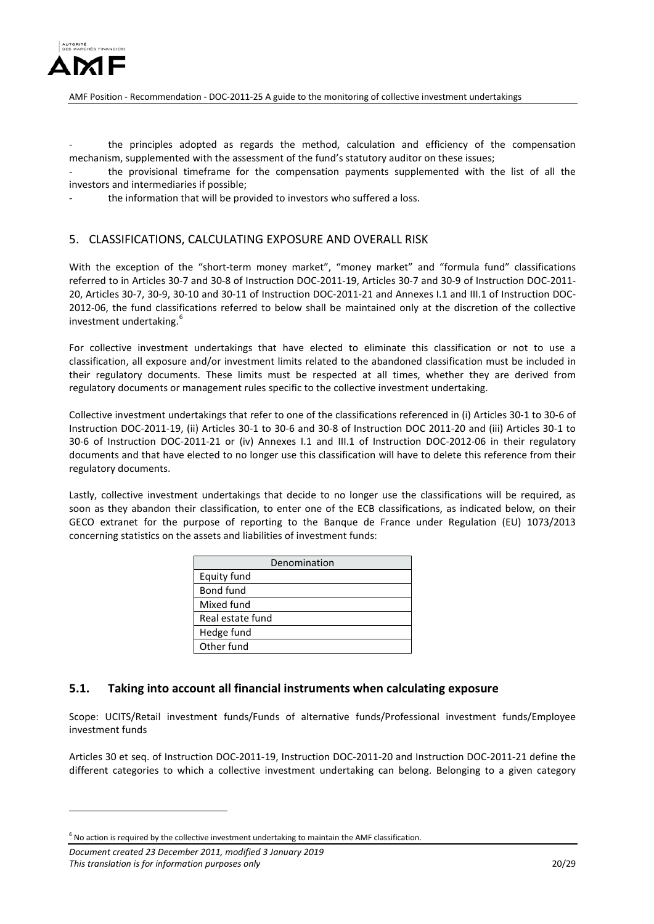

the principles adopted as regards the method, calculation and efficiency of the compensation mechanism, supplemented with the assessment of the fund's statutory auditor on these issues;

the provisional timeframe for the compensation payments supplemented with the list of all the investors and intermediaries if possible;

the information that will be provided to investors who suffered a loss.

### <span id="page-19-0"></span>5. CLASSIFICATIONS, CALCULATING EXPOSURE AND OVERALL RISK

With the exception of the "short-term money market", "money market" and "formula fund" classifications referred to in Articles 30-7 and 30-8 of Instruction DOC-2011-19, Articles 30-7 and 30-9 of Instruction DOC-2011- 20, Articles 30-7, 30-9, 30-10 and 30-11 of Instruction DOC-2011-21 and Annexes I.1 and III.1 of Instruction DOC-2012-06, the fund classifications referred to below shall be maintained only at the discretion of the collective investment undertaking.<sup>[6](#page-19-2)</sup>

For collective investment undertakings that have elected to eliminate this classification or not to use a classification, all exposure and/or investment limits related to the abandoned classification must be included in their regulatory documents. These limits must be respected at all times, whether they are derived from regulatory documents or management rules specific to the collective investment undertaking.

Collective investment undertakings that refer to one of the classifications referenced in (i) Articles 30-1 to 30-6 of Instruction DOC-2011-19, (ii) Articles 30-1 to 30-6 and 30-8 of Instruction DOC 2011-20 and (iii) Articles 30-1 to 30-6 of Instruction DOC-2011-21 or (iv) Annexes I.1 and III.1 of Instruction DOC-2012-06 in their regulatory documents and that have elected to no longer use this classification will have to delete this reference from their regulatory documents.

Lastly, collective investment undertakings that decide to no longer use the classifications will be required, as soon as they abandon their classification, to enter one of the ECB classifications, as indicated below, on their GECO extranet for the purpose of reporting to the Banque de France under Regulation (EU) 1073/2013 concerning statistics on the assets and liabilities of investment funds:

| Denomination     |
|------------------|
| Equity fund      |
| Bond fund        |
| Mixed fund       |
| Real estate fund |
| Hedge fund       |
| Other fund       |

### <span id="page-19-1"></span>**5.1. Taking into account all financial instruments when calculating exposure**

Scope: UCITS/Retail investment funds/Funds of alternative funds/Professional investment funds/Employee investment funds

Articles 30 et seq. of Instruction DOC-2011-19, Instruction DOC-2011-20 and Instruction DOC-2011-21 define the different categories to which a collective investment undertaking can belong. Belonging to a given category

<u>.</u>

<span id="page-19-2"></span> $6$  No action is required by the collective investment undertaking to maintain the AMF classification.

*Document created 23 December 2011, modified 3 January 2019 This translation is for information purposes only* 20/29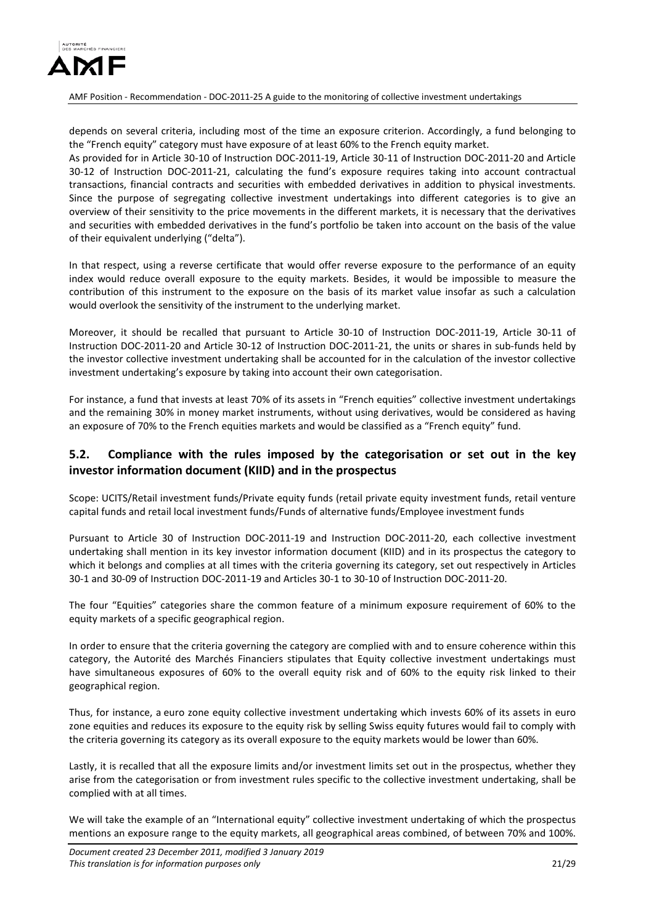

depends on several criteria, including most of the time an exposure criterion. Accordingly, a fund belonging to the "French equity" category must have exposure of at least 60% to the French equity market. As provided for in Article 30-10 of Instruction DOC-2011-19, Article 30-11 of Instruction DOC-2011-20 and Article 30-12 of Instruction DOC-2011-21, calculating the fund's exposure requires taking into account contractual transactions, financial contracts and securities with embedded derivatives in addition to physical investments. Since the purpose of segregating collective investment undertakings into different categories is to give an overview of their sensitivity to the price movements in the different markets, it is necessary that the derivatives and securities with embedded derivatives in the fund's portfolio be taken into account on the basis of the value of their equivalent underlying ("delta").

In that respect, using a reverse certificate that would offer reverse exposure to the performance of an equity index would reduce overall exposure to the equity markets. Besides, it would be impossible to measure the contribution of this instrument to the exposure on the basis of its market value insofar as such a calculation would overlook the sensitivity of the instrument to the underlying market.

Moreover, it should be recalled that pursuant to Article 30-10 of Instruction DOC-2011-19, Article 30-11 of Instruction DOC-2011-20 and Article 30-12 of Instruction DOC-2011-21, the units or shares in sub-funds held by the investor collective investment undertaking shall be accounted for in the calculation of the investor collective investment undertaking's exposure by taking into account their own categorisation.

For instance, a fund that invests at least 70% of its assets in "French equities" collective investment undertakings and the remaining 30% in money market instruments, without using derivatives, would be considered as having an exposure of 70% to the French equities markets and would be classified as a "French equity" fund.

# <span id="page-20-0"></span>**5.2. Compliance with the rules imposed by the categorisation or set out in the key investor information document (KIID) and in the prospectus**

Scope: UCITS/Retail investment funds/Private equity funds (retail private equity investment funds, retail venture capital funds and retail local investment funds/Funds of alternative funds/Employee investment funds

Pursuant to Article 30 of Instruction DOC-2011-19 and Instruction DOC-2011-20, each collective investment undertaking shall mention in its key investor information document (KIID) and in its prospectus the category to which it belongs and complies at all times with the criteria governing its category, set out respectively in Articles 30-1 and 30-09 of Instruction DOC-2011-19 and Articles 30-1 to 30-10 of Instruction DOC-2011-20.

The four "Equities" categories share the common feature of a minimum exposure requirement of 60% to the equity markets of a specific geographical region.

In order to ensure that the criteria governing the category are complied with and to ensure coherence within this category, the Autorité des Marchés Financiers stipulates that Equity collective investment undertakings must have simultaneous exposures of 60% to the overall equity risk and of 60% to the equity risk linked to their geographical region.

Thus, for instance, a euro zone equity collective investment undertaking which invests 60% of its assets in euro zone equities and reduces its exposure to the equity risk by selling Swiss equity futures would fail to comply with the criteria governing its category as its overall exposure to the equity markets would be lower than 60%.

Lastly, it is recalled that all the exposure limits and/or investment limits set out in the prospectus, whether they arise from the categorisation or from investment rules specific to the collective investment undertaking, shall be complied with at all times.

We will take the example of an "International equity" collective investment undertaking of which the prospectus mentions an exposure range to the equity markets, all geographical areas combined, of between 70% and 100%.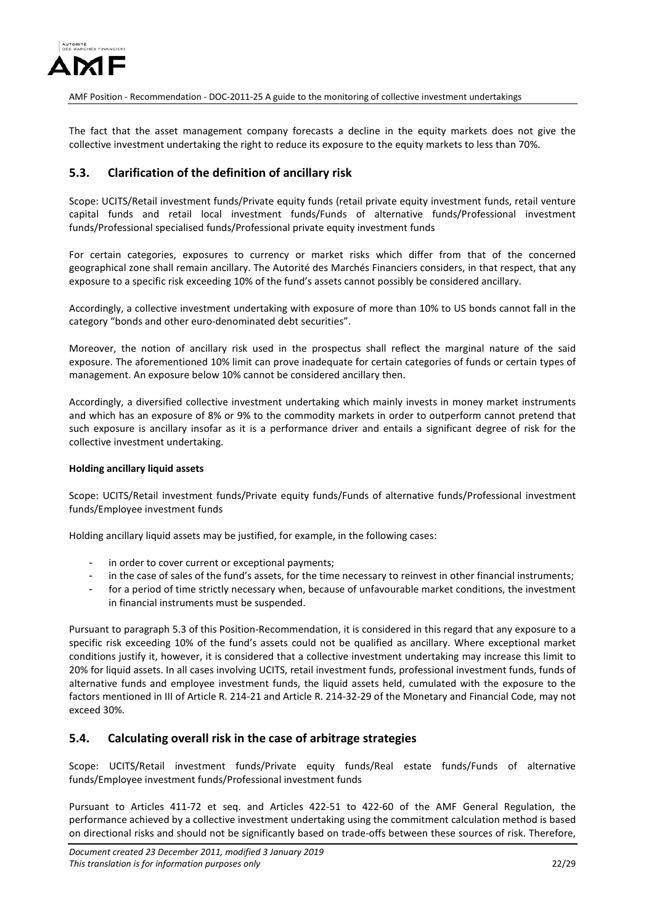

The fact that the asset management company forecasts a decline in the equity markets does not give the collective investment undertaking the right to reduce its exposure to the equity markets to less than 70%.

## <span id="page-21-0"></span>**5.3. Clarification of the definition of ancillary risk**

Scope: UCITS/Retail investment funds/Private equity funds (retail private equity investment funds, retail venture capital funds and retail local investment funds/Funds of alternative funds/Professional investment funds/Professional specialised funds/Professional private equity investment funds

For certain categories, exposures to currency or market risks which differ from that of the concerned geographical zone shall remain ancillary. The Autorité des Marchés Financiers considers, in that respect, that any exposure to a specific risk exceeding 10% of the fund's assets cannot possibly be considered ancillary.

Accordingly, a collective investment undertaking with exposure of more than 10% to US bonds cannot fall in the category "bonds and other euro-denominated debt securities".

Moreover, the notion of ancillary risk used in the prospectus shall reflect the marginal nature of the said exposure. The aforementioned 10% limit can prove inadequate for certain categories of funds or certain types of management. An exposure below 10% cannot be considered ancillary then.

Accordingly, a diversified collective investment undertaking which mainly invests in money market instruments and which has an exposure of 8% or 9% to the commodity markets in order to outperform cannot pretend that such exposure is ancillary insofar as it is a performance driver and entails a significant degree of risk for the collective investment undertaking.

### **Holding ancillary liquid assets**

Scope: UCITS/Retail investment funds/Private equity funds/Funds of alternative funds/Professional investment funds/Employee investment funds

Holding ancillary liquid assets may be justified, for example, in the following cases:

- in order to cover current or exceptional payments:
- in the case of sales of the fund's assets, for the time necessary to reinvest in other financial instruments;
- for a period of time strictly necessary when, because of unfavourable market conditions, the investment in financial instruments must be suspended.

Pursuant to paragraph 5.3 of this Position-Recommendation, it is considered in this regard that any exposure to a specific risk exceeding 10% of the fund's assets could not be qualified as ancillary. Where exceptional market conditions justify it, however, it is considered that a collective investment undertaking may increase this limit to 20% for liquid assets. In all cases involving UCITS, retail investment funds, professional investment funds, funds of alternative funds and employee investment funds, the liquid assets held, cumulated with the exposure to the factors mentioned in III of Article R. 214-21 and Article R. 214-32-29 of the Monetary and Financial Code, may not exceed 30%.

## <span id="page-21-1"></span>**5.4. Calculating overall risk in the case of arbitrage strategies**

Scope: UCITS/Retail investment funds/Private equity funds/Real estate funds/Funds of alternative funds/Employee investment funds/Professional investment funds

Pursuant to Articles 411-72 et seq. and Articles 422-51 to 422-60 of the AMF General Regulation, the performance achieved by a collective investment undertaking using the commitment calculation method is based on directional risks and should not be significantly based on trade-offs between these sources of risk. Therefore,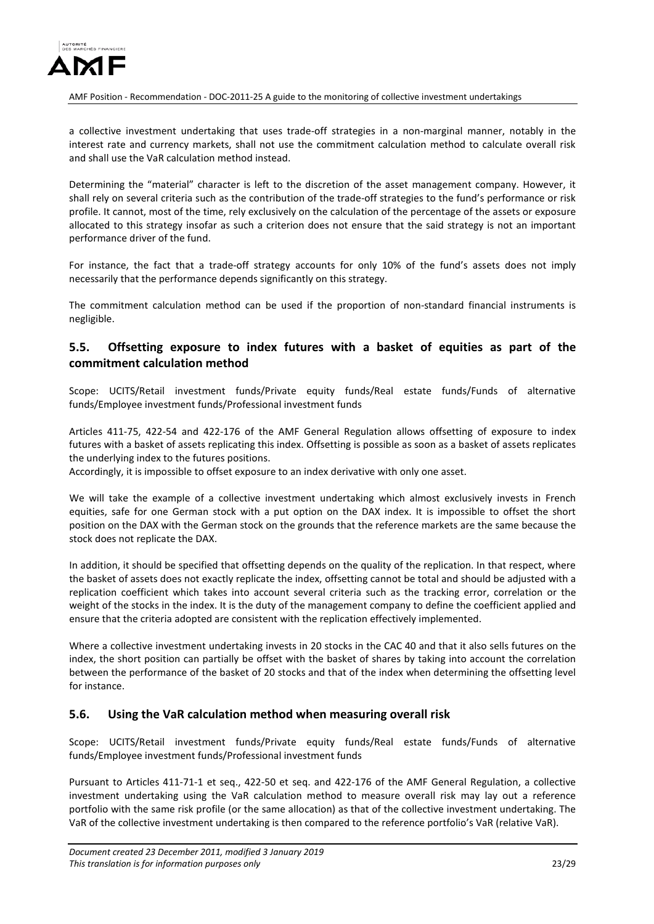

a collective investment undertaking that uses trade-off strategies in a non-marginal manner, notably in the interest rate and currency markets, shall not use the commitment calculation method to calculate overall risk and shall use the VaR calculation method instead.

Determining the "material" character is left to the discretion of the asset management company. However, it shall rely on several criteria such as the contribution of the trade-off strategies to the fund's performance or risk profile. It cannot, most of the time, rely exclusively on the calculation of the percentage of the assets or exposure allocated to this strategy insofar as such a criterion does not ensure that the said strategy is not an important performance driver of the fund.

For instance, the fact that a trade-off strategy accounts for only 10% of the fund's assets does not imply necessarily that the performance depends significantly on this strategy.

The commitment calculation method can be used if the proportion of non-standard financial instruments is negligible.

# <span id="page-22-0"></span>**5.5. Offsetting exposure to index futures with a basket of equities as part of the commitment calculation method**

Scope: UCITS/Retail investment funds/Private equity funds/Real estate funds/Funds of alternative funds/Employee investment funds/Professional investment funds

Articles 411-75, 422-54 and 422-176 of the AMF General Regulation allows offsetting of exposure to index futures with a basket of assets replicating this index. Offsetting is possible as soon as a basket of assets replicates the underlying index to the futures positions.

Accordingly, it is impossible to offset exposure to an index derivative with only one asset.

We will take the example of a collective investment undertaking which almost exclusively invests in French equities, safe for one German stock with a put option on the DAX index. It is impossible to offset the short position on the DAX with the German stock on the grounds that the reference markets are the same because the stock does not replicate the DAX.

In addition, it should be specified that offsetting depends on the quality of the replication. In that respect, where the basket of assets does not exactly replicate the index, offsetting cannot be total and should be adjusted with a replication coefficient which takes into account several criteria such as the tracking error, correlation or the weight of the stocks in the index. It is the duty of the management company to define the coefficient applied and ensure that the criteria adopted are consistent with the replication effectively implemented.

Where a collective investment undertaking invests in 20 stocks in the CAC 40 and that it also sells futures on the index, the short position can partially be offset with the basket of shares by taking into account the correlation between the performance of the basket of 20 stocks and that of the index when determining the offsetting level for instance.

### <span id="page-22-1"></span>**5.6. Using the VaR calculation method when measuring overall risk**

Scope: UCITS/Retail investment funds/Private equity funds/Real estate funds/Funds of alternative funds/Employee investment funds/Professional investment funds

Pursuant to Articles 411-71-1 et seq., 422-50 et seq. and 422-176 of the AMF General Regulation, a collective investment undertaking using the VaR calculation method to measure overall risk may lay out a reference portfolio with the same risk profile (or the same allocation) as that of the collective investment undertaking. The VaR of the collective investment undertaking is then compared to the reference portfolio's VaR (relative VaR).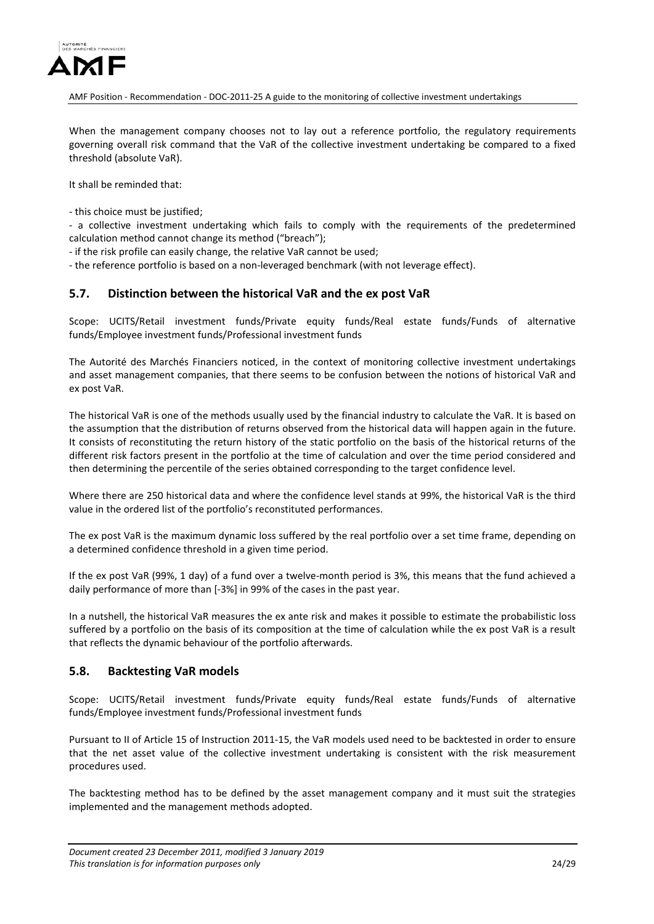

When the management company chooses not to lay out a reference portfolio, the regulatory requirements governing overall risk command that the VaR of the collective investment undertaking be compared to a fixed threshold (absolute VaR).

It shall be reminded that:

- this choice must be justified;

- a collective investment undertaking which fails to comply with the requirements of the predetermined calculation method cannot change its method ("breach");

- if the risk profile can easily change, the relative VaR cannot be used;

- the reference portfolio is based on a non-leveraged benchmark (with not leverage effect).

### <span id="page-23-0"></span>**5.7. Distinction between the historical VaR and the ex post VaR**

Scope: UCITS/Retail investment funds/Private equity funds/Real estate funds/Funds of alternative funds/Employee investment funds/Professional investment funds

The Autorité des Marchés Financiers noticed, in the context of monitoring collective investment undertakings and asset management companies, that there seems to be confusion between the notions of historical VaR and ex post VaR.

The historical VaR is one of the methods usually used by the financial industry to calculate the VaR. It is based on the assumption that the distribution of returns observed from the historical data will happen again in the future. It consists of reconstituting the return history of the static portfolio on the basis of the historical returns of the different risk factors present in the portfolio at the time of calculation and over the time period considered and then determining the percentile of the series obtained corresponding to the target confidence level.

Where there are 250 historical data and where the confidence level stands at 99%, the historical VaR is the third value in the ordered list of the portfolio's reconstituted performances.

The ex post VaR is the maximum dynamic loss suffered by the real portfolio over a set time frame, depending on a determined confidence threshold in a given time period.

If the ex post VaR (99%, 1 day) of a fund over a twelve-month period is 3%, this means that the fund achieved a daily performance of more than [-3%] in 99% of the cases in the past year.

In a nutshell, the historical VaR measures the ex ante risk and makes it possible to estimate the probabilistic loss suffered by a portfolio on the basis of its composition at the time of calculation while the ex post VaR is a result that reflects the dynamic behaviour of the portfolio afterwards.

### <span id="page-23-1"></span>**5.8. Backtesting VaR models**

Scope: UCITS/Retail investment funds/Private equity funds/Real estate funds/Funds of alternative funds/Employee investment funds/Professional investment funds

Pursuant to II of Article 15 of Instruction 2011-15, the VaR models used need to be backtested in order to ensure that the net asset value of the collective investment undertaking is consistent with the risk measurement procedures used.

The backtesting method has to be defined by the asset management company and it must suit the strategies implemented and the management methods adopted.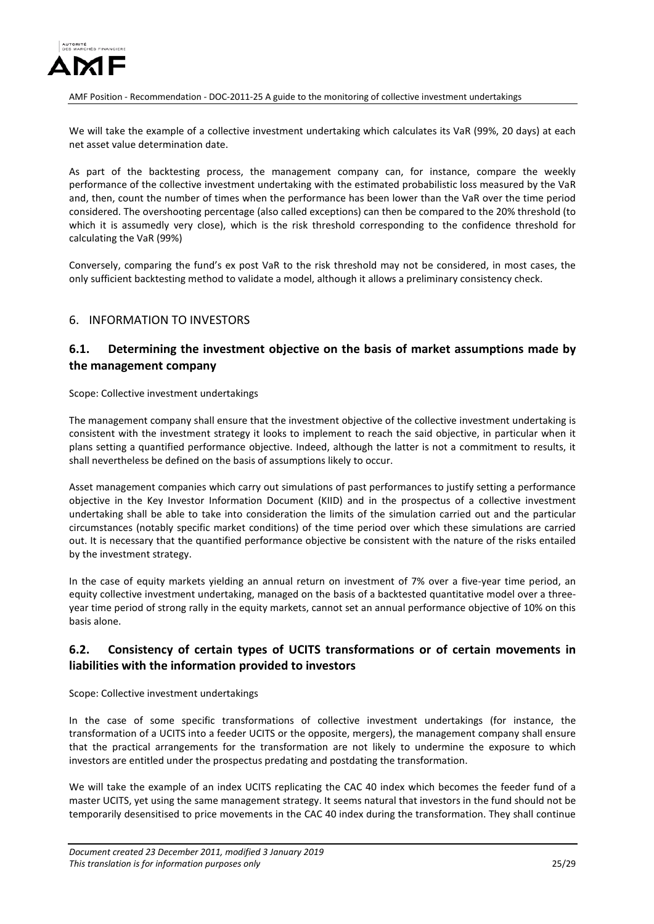

We will take the example of a collective investment undertaking which calculates its VaR (99%, 20 days) at each net asset value determination date.

As part of the backtesting process, the management company can, for instance, compare the weekly performance of the collective investment undertaking with the estimated probabilistic loss measured by the VaR and, then, count the number of times when the performance has been lower than the VaR over the time period considered. The overshooting percentage (also called exceptions) can then be compared to the 20% threshold (to which it is assumedly very close), which is the risk threshold corresponding to the confidence threshold for calculating the VaR (99%)

Conversely, comparing the fund's ex post VaR to the risk threshold may not be considered, in most cases, the only sufficient backtesting method to validate a model, although it allows a preliminary consistency check.

## <span id="page-24-0"></span>6. INFORMATION TO INVESTORS

## <span id="page-24-1"></span>**6.1. Determining the investment objective on the basis of market assumptions made by the management company**

Scope: Collective investment undertakings

The management company shall ensure that the investment objective of the collective investment undertaking is consistent with the investment strategy it looks to implement to reach the said objective, in particular when it plans setting a quantified performance objective. Indeed, although the latter is not a commitment to results, it shall nevertheless be defined on the basis of assumptions likely to occur.

Asset management companies which carry out simulations of past performances to justify setting a performance objective in the Key Investor Information Document (KIID) and in the prospectus of a collective investment undertaking shall be able to take into consideration the limits of the simulation carried out and the particular circumstances (notably specific market conditions) of the time period over which these simulations are carried out. It is necessary that the quantified performance objective be consistent with the nature of the risks entailed by the investment strategy.

In the case of equity markets yielding an annual return on investment of 7% over a five-year time period, an equity collective investment undertaking, managed on the basis of a backtested quantitative model over a threeyear time period of strong rally in the equity markets, cannot set an annual performance objective of 10% on this basis alone.

# <span id="page-24-2"></span>**6.2. Consistency of certain types of UCITS transformations or of certain movements in liabilities with the information provided to investors**

Scope: Collective investment undertakings

In the case of some specific transformations of collective investment undertakings (for instance, the transformation of a UCITS into a feeder UCITS or the opposite, mergers), the management company shall ensure that the practical arrangements for the transformation are not likely to undermine the exposure to which investors are entitled under the prospectus predating and postdating the transformation.

We will take the example of an index UCITS replicating the CAC 40 index which becomes the feeder fund of a master UCITS, yet using the same management strategy. It seems natural that investors in the fund should not be temporarily desensitised to price movements in the CAC 40 index during the transformation. They shall continue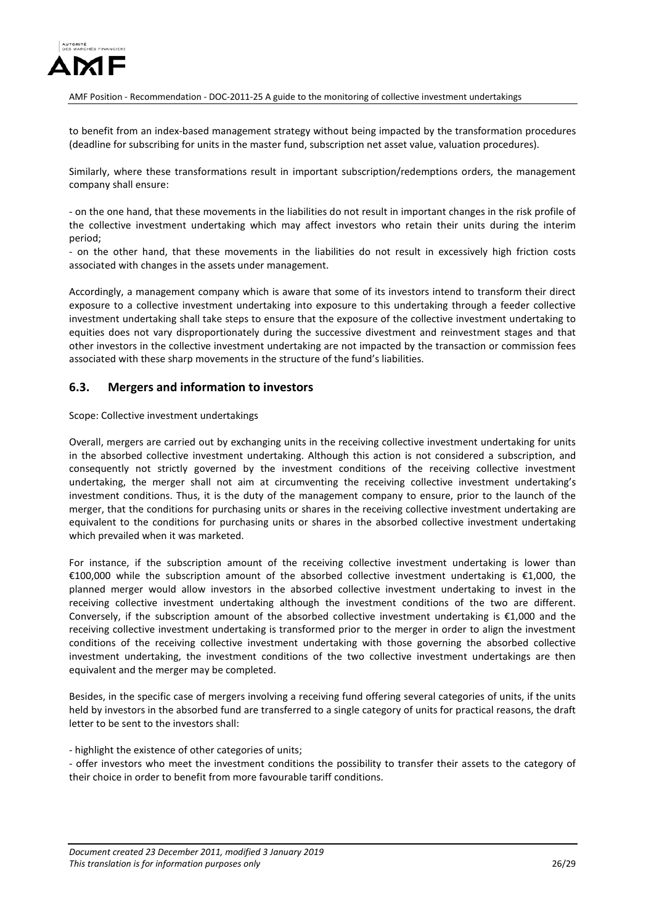

to benefit from an index-based management strategy without being impacted by the transformation procedures (deadline for subscribing for units in the master fund, subscription net asset value, valuation procedures).

Similarly, where these transformations result in important subscription/redemptions orders, the management company shall ensure:

- on the one hand, that these movements in the liabilities do not result in important changes in the risk profile of the collective investment undertaking which may affect investors who retain their units during the interim period;

- on the other hand, that these movements in the liabilities do not result in excessively high friction costs associated with changes in the assets under management.

Accordingly, a management company which is aware that some of its investors intend to transform their direct exposure to a collective investment undertaking into exposure to this undertaking through a feeder collective investment undertaking shall take steps to ensure that the exposure of the collective investment undertaking to equities does not vary disproportionately during the successive divestment and reinvestment stages and that other investors in the collective investment undertaking are not impacted by the transaction or commission fees associated with these sharp movements in the structure of the fund's liabilities.

### <span id="page-25-0"></span>**6.3. Mergers and information to investors**

Scope: Collective investment undertakings

Overall, mergers are carried out by exchanging units in the receiving collective investment undertaking for units in the absorbed collective investment undertaking. Although this action is not considered a subscription, and consequently not strictly governed by the investment conditions of the receiving collective investment undertaking, the merger shall not aim at circumventing the receiving collective investment undertaking's investment conditions. Thus, it is the duty of the management company to ensure, prior to the launch of the merger, that the conditions for purchasing units or shares in the receiving collective investment undertaking are equivalent to the conditions for purchasing units or shares in the absorbed collective investment undertaking which prevailed when it was marketed.

For instance, if the subscription amount of the receiving collective investment undertaking is lower than €100,000 while the subscription amount of the absorbed collective investment undertaking is €1,000, the planned merger would allow investors in the absorbed collective investment undertaking to invest in the receiving collective investment undertaking although the investment conditions of the two are different. Conversely, if the subscription amount of the absorbed collective investment undertaking is €1,000 and the receiving collective investment undertaking is transformed prior to the merger in order to align the investment conditions of the receiving collective investment undertaking with those governing the absorbed collective investment undertaking, the investment conditions of the two collective investment undertakings are then equivalent and the merger may be completed.

Besides, in the specific case of mergers involving a receiving fund offering several categories of units, if the units held by investors in the absorbed fund are transferred to a single category of units for practical reasons, the draft letter to be sent to the investors shall:

- highlight the existence of other categories of units;

- offer investors who meet the investment conditions the possibility to transfer their assets to the category of their choice in order to benefit from more favourable tariff conditions.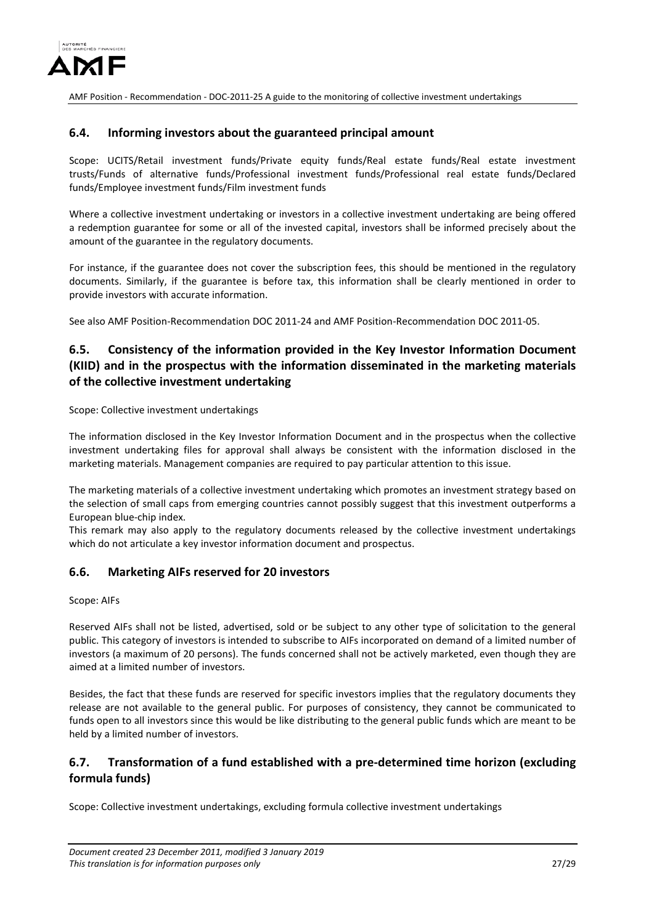

### <span id="page-26-0"></span>**6.4. Informing investors about the guaranteed principal amount**

Scope: UCITS/Retail investment funds/Private equity funds/Real estate funds/Real estate investment trusts/Funds of alternative funds/Professional investment funds/Professional real estate funds/Declared funds/Employee investment funds/Film investment funds

Where a collective investment undertaking or investors in a collective investment undertaking are being offered a redemption guarantee for some or all of the invested capital, investors shall be informed precisely about the amount of the guarantee in the regulatory documents.

For instance, if the guarantee does not cover the subscription fees, this should be mentioned in the regulatory documents. Similarly, if the guarantee is before tax, this information shall be clearly mentioned in order to provide investors with accurate information.

See also AMF Position-Recommendation DOC 2011-24 and AMF Position-Recommendation DOC 2011-05.

# <span id="page-26-1"></span>**6.5. Consistency of the information provided in the Key Investor Information Document (KIID) and in the prospectus with the information disseminated in the marketing materials of the collective investment undertaking**

Scope: Collective investment undertakings

The information disclosed in the Key Investor Information Document and in the prospectus when the collective investment undertaking files for approval shall always be consistent with the information disclosed in the marketing materials. Management companies are required to pay particular attention to this issue.

The marketing materials of a collective investment undertaking which promotes an investment strategy based on the selection of small caps from emerging countries cannot possibly suggest that this investment outperforms a European blue-chip index.

This remark may also apply to the regulatory documents released by the collective investment undertakings which do not articulate a key investor information document and prospectus.

### <span id="page-26-2"></span>**6.6. Marketing AIFs reserved for 20 investors**

#### Scope: AIFs

Reserved AIFs shall not be listed, advertised, sold or be subject to any other type of solicitation to the general public. This category of investors is intended to subscribe to AIFs incorporated on demand of a limited number of investors (a maximum of 20 persons). The funds concerned shall not be actively marketed, even though they are aimed at a limited number of investors.

Besides, the fact that these funds are reserved for specific investors implies that the regulatory documents they release are not available to the general public. For purposes of consistency, they cannot be communicated to funds open to all investors since this would be like distributing to the general public funds which are meant to be held by a limited number of investors.

# <span id="page-26-3"></span>**6.7. Transformation of a fund established with a pre-determined time horizon (excluding formula funds)**

Scope: Collective investment undertakings, excluding formula collective investment undertakings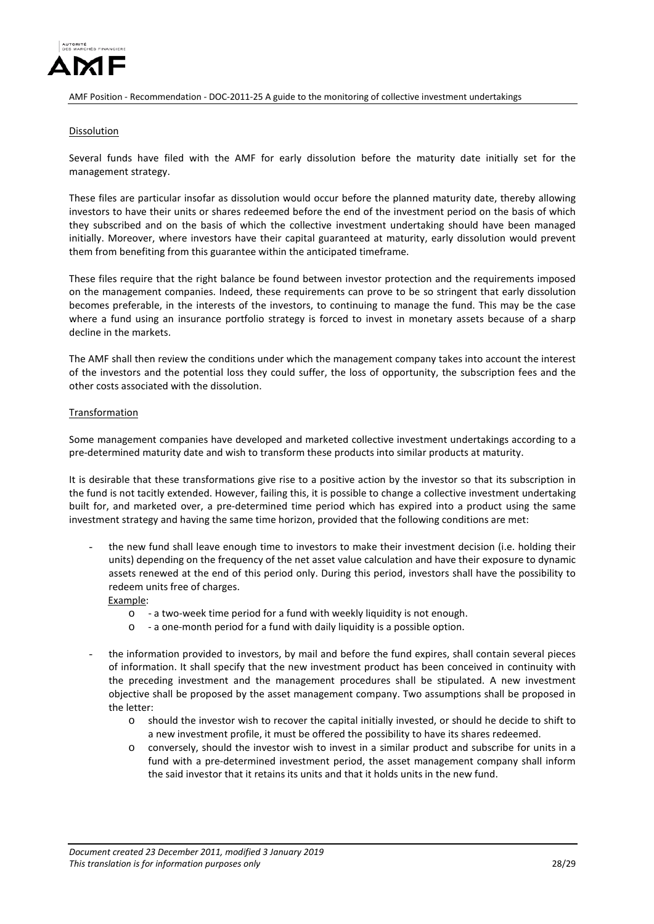

#### **Dissolution**

Several funds have filed with the AMF for early dissolution before the maturity date initially set for the management strategy.

These files are particular insofar as dissolution would occur before the planned maturity date, thereby allowing investors to have their units or shares redeemed before the end of the investment period on the basis of which they subscribed and on the basis of which the collective investment undertaking should have been managed initially. Moreover, where investors have their capital guaranteed at maturity, early dissolution would prevent them from benefiting from this guarantee within the anticipated timeframe.

These files require that the right balance be found between investor protection and the requirements imposed on the management companies. Indeed, these requirements can prove to be so stringent that early dissolution becomes preferable, in the interests of the investors, to continuing to manage the fund. This may be the case where a fund using an insurance portfolio strategy is forced to invest in monetary assets because of a sharp decline in the markets.

The AMF shall then review the conditions under which the management company takes into account the interest of the investors and the potential loss they could suffer, the loss of opportunity, the subscription fees and the other costs associated with the dissolution.

#### Transformation

Some management companies have developed and marketed collective investment undertakings according to a pre-determined maturity date and wish to transform these products into similar products at maturity.

It is desirable that these transformations give rise to a positive action by the investor so that its subscription in the fund is not tacitly extended. However, failing this, it is possible to change a collective investment undertaking built for, and marketed over, a pre-determined time period which has expired into a product using the same investment strategy and having the same time horizon, provided that the following conditions are met:

the new fund shall leave enough time to investors to make their investment decision (i.e. holding their units) depending on the frequency of the net asset value calculation and have their exposure to dynamic assets renewed at the end of this period only. During this period, investors shall have the possibility to redeem units free of charges.

Example:

- o a two-week time period for a fund with weekly liquidity is not enough.
- o a one-month period for a fund with daily liquidity is a possible option.
- the information provided to investors, by mail and before the fund expires, shall contain several pieces of information. It shall specify that the new investment product has been conceived in continuity with the preceding investment and the management procedures shall be stipulated. A new investment objective shall be proposed by the asset management company. Two assumptions shall be proposed in the letter:
	- o should the investor wish to recover the capital initially invested, or should he decide to shift to a new investment profile, it must be offered the possibility to have its shares redeemed.
	- o conversely, should the investor wish to invest in a similar product and subscribe for units in a fund with a pre-determined investment period, the asset management company shall inform the said investor that it retains its units and that it holds units in the new fund.